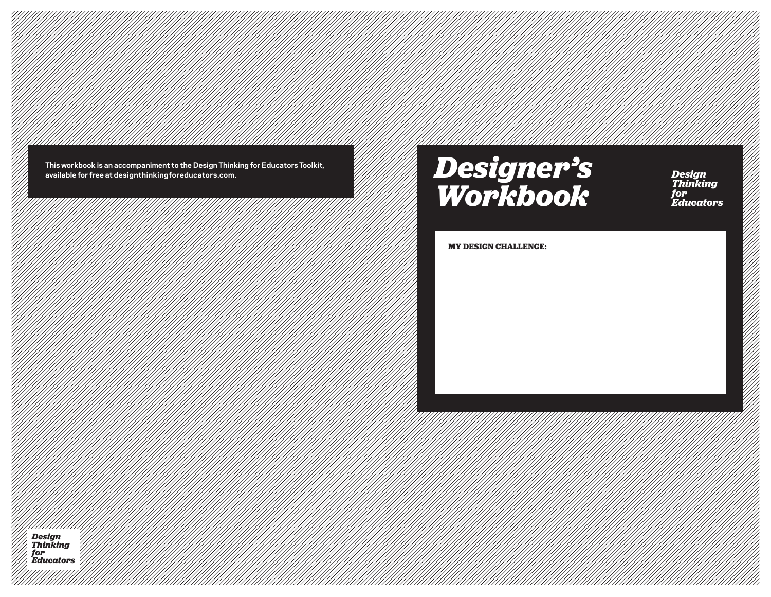**This workbook is an accompaniment to the Design Thinking for Educators Toolkit, available for free at designthinkingforeducators.com.**

## *Designer's Workbook Designer's Workbook*

*Design Thinking for Educators*

*Design Thinking*

*for* 

#### **MY DESIGN CHALLENGE:**

pesign *and a control control control control control control control control control control control control control control control control control control control control control control control control control control Thinking for Educators*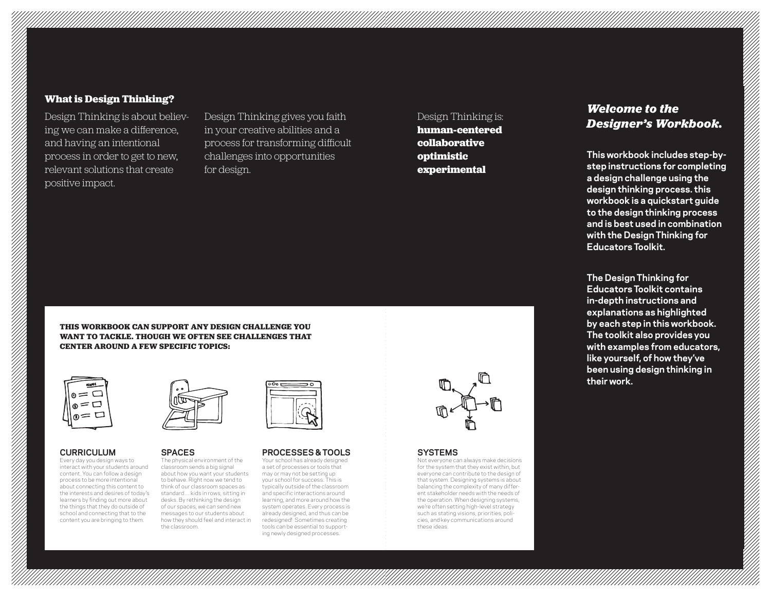## **What is Design Thinking?**

Design Thinking is about believing we can make a difference, and having an intentional process in order to get to new, relevant solutions that create positive impact.

Design Thinking gives you faith in your creative abilities and a process for transforming difficult challenges into opportunities for design.

Design Thinking is:

**human-centered collaborative optimistic experimental**

## *Welcome to the Designer's Workbook.*

**This workbook includes step-bystep instructions for completing a design challenge using the design thinking process. this workbook is a quickstart guide to the design thinking process and is best used in combination with the Design Thinking for Educators Toolkit.** 

**The Design Thinking for Educators Toolkit contains in-depth instructions and explanations as highlighted by each step in this workbook. The toolkit also provides you with examples from educators, like yourself, of how they've been using design thinking in their work.**

**THIS WORKBOOK CAN SUPPORT ANY DESIGN CHALLENGE YOU WANT TO TACKLE. THOUGH WE OFTEN SEE CHALLENGES THAT CENTER AROUND A FEW SPECIFIC TOPICS:**

| 7 |
|---|
| Ξ |
|   |

#### **CURRICULUM**

Every day you design ways to interact with your students around content. You can follow a design process to be more intentional about connecting this content to the interests and desires of today's learners by finding out more about the things that they do outside of school and connecting that to the content you are bringing to them.



#### **SPACES**

The physical environment of the classroom sends a big signal about how you want your students to behave. Right now we tend to think of our classroom spaces as standard… kids in rows, sitting in desks. By rethinking the design of our spaces, we can send new messages to our students about how they should feel and interact in the classroom.



#### **PROCESSES & TOOLS** Your school has already designed

a set of processes or tools that may or may not be setting up your school for success. This is typically outside of the classroom and specific interactions around learning, and more around how the system operates. Every process is already designed, and thus can be redesigned! Sometimes creating tools can be essential to supporting newly designed processes.



#### **SYSTEMS**

Not everyone can always make decisions for the system that they exist within, but everyone can contribute to the design of that system. Designing systems is about balancing the complexity of many different stakeholder needs with the needs of the operation. When designing systems, we're often setting high-level strategy such as stating visions, priorities, policies, and key communications around these ideas.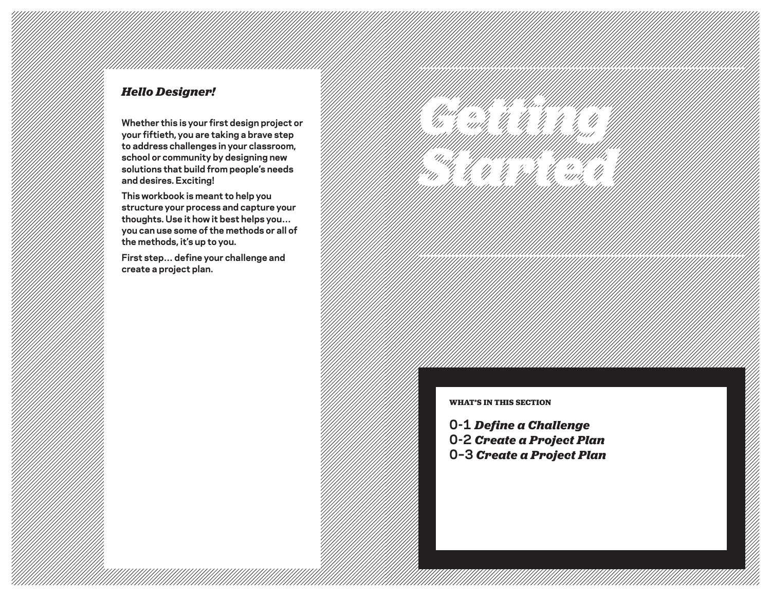## *Hello Designer!*

**Whether this is your first design project or your fiftieth, you are taking a brave step to address challenges in your classroom, school or community by designing new solutions that build from people's needs and desires. Exciting!** 

**This workbook is meant to help you structure your process and capture your thoughts. Use it how it best helps you… you can use some of the methods or all of the methods, it's up to you.** 

**First step… define your challenge and create a project plan.** 



#### **WHAT'S IN THIS SECTION**

**0-1** *Define a Challenge* **0-2** *Create a Project Plan* **0–3** *Create a Project Plan*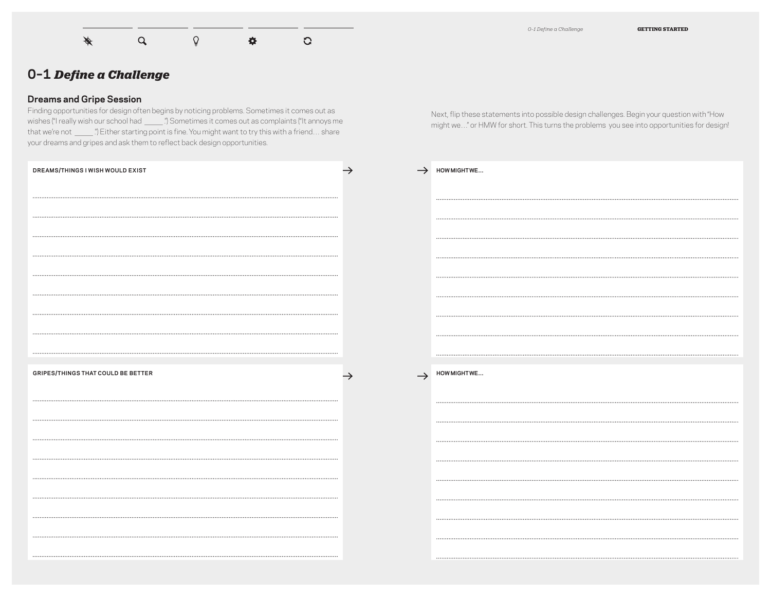$\mathbf{\mathcal{Q}}$ ♦  $\mathsf Q$  $\bullet$  $\overline{Q}$  *0–1 Define a Challenge* **GETTING STARTED**

## **0–1** *Define a Challenge*

### **Dreams and Gripe Session**

Finding opportunities for design often begins by noticing problems. Sometimes it comes out as **O-1 Define a Challenge**<br>**Dreams and Gripe Session**<br>Finding opportunities for design often begins by noticing problems. Sometimes it comes out as<br>wishes ("I really wish our school had \_\_\_\_\_.") Sometimes it comes out as com **Dreams and Gripe Session**<br>Finding opportunities for design often begins by noticing problems. Sometimes it comes out as<br>wishes ("I really wish our school had \_\_\_\_\_.") Sometimes it comes out as complaints ("It annoys me<br>th your dreams and gripes and ask them to reflect back design opportunities.

Next, flip these statements into possible design challenges. Begin your question with "How might we…" or HMW for short. This turns the problems you see into opportunities for design!

| DREAMS/THINGS I WISH WOULD EXIST          | HOW MIGHT WE               |
|-------------------------------------------|----------------------------|
|                                           |                            |
|                                           |                            |
|                                           |                            |
|                                           |                            |
|                                           |                            |
|                                           |                            |
|                                           |                            |
|                                           |                            |
| <b>GRIPES/THINGS THAT COULD BE BETTER</b> | $\rightarrow$ HOW MIGHT WE |
|                                           |                            |
|                                           |                            |
|                                           |                            |
|                                           |                            |
|                                           |                            |
|                                           |                            |
|                                           |                            |
|                                           |                            |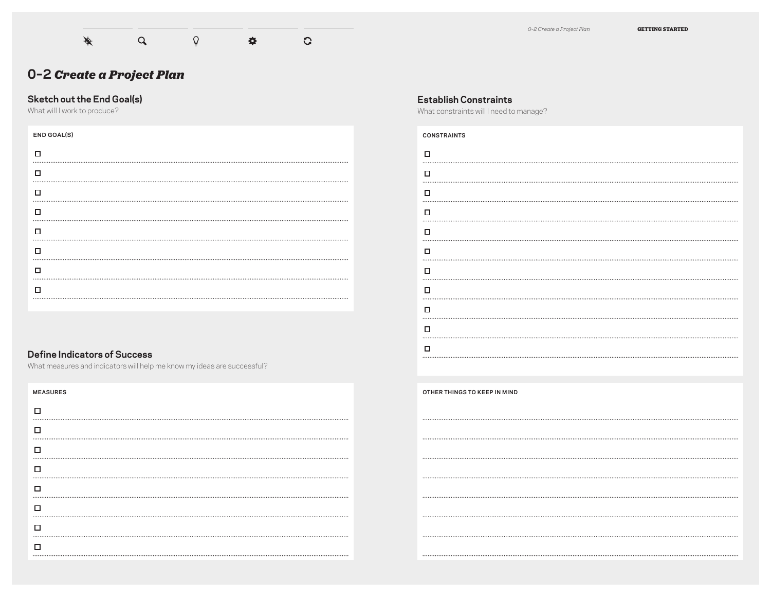

## **Sketch out the End Goal(s)**

What will I work to produce?

| <b>END GOAL(S)</b> |
|--------------------|
|                    |
| □                  |
| п                  |
| п                  |
| п                  |
| П                  |
| П                  |
|                    |
|                    |

## **Establish Constraints**

What constraints will I need to manage?

| <b>CONSTRAINTS</b> |  |
|--------------------|--|
| □                  |  |
| □                  |  |
| □                  |  |
| □                  |  |
| □                  |  |
| □                  |  |
| □                  |  |
| о                  |  |
| □                  |  |
| □                  |  |
| п                  |  |
|                    |  |

## **Define Indicators of Success**

What measures and indicators will help me know my ideas are successful?

| <b>MEASURES</b> |
|-----------------|
| □               |
| □               |
| □               |
| □               |
| □               |
| □               |
| □               |
| □               |
|                 |

**OTHER THINGS TO KEEP IN MIND**

 $......$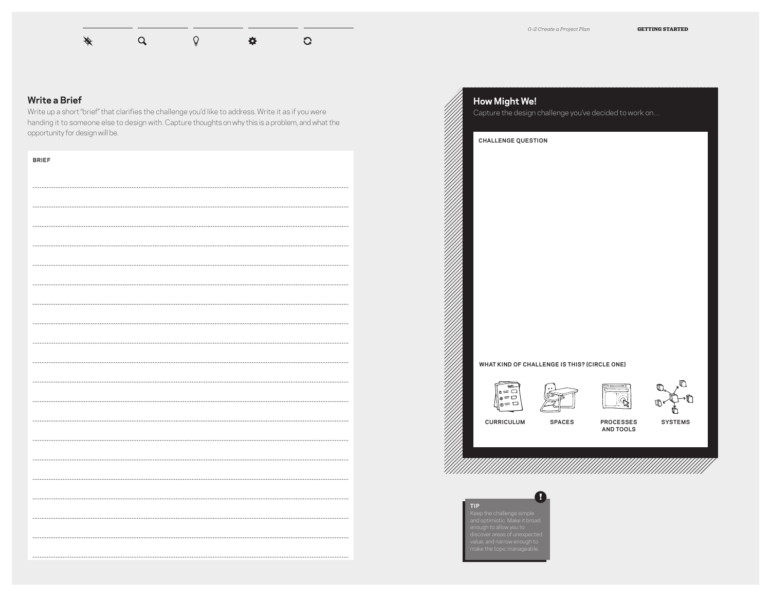

## **Write a Brief**

Write up a short "brief" that clarifies the challenge you'd like to address. Write it as if you were handing it to someone else to design with. Capture thoughts on why this is a problem, and what the opportunity for design will be.

| <b>BRIEF</b> |
|--------------|
|              |
|              |
|              |
|              |
|              |
|              |
|              |
|              |
|              |
|              |
|              |
|              |
|              |
|              |
|              |
|              |
|              |
|              |
|              |
|              |

| <b>CHALLENGE QUESTION</b>                               |               |                               |                |
|---------------------------------------------------------|---------------|-------------------------------|----------------|
|                                                         |               |                               |                |
|                                                         |               |                               |                |
|                                                         |               |                               |                |
|                                                         |               |                               |                |
|                                                         |               |                               |                |
|                                                         |               |                               |                |
| WHAT KIND OF CHALLENGE IS THIS? (CIRCLE ONE)            |               |                               |                |
| <b>HAME</b><br>0=□<br>$=$ $\Box$<br>$^{\circ}$<br>ก= ่⊐ |               |                               | ╓<br>⅏         |
| <b>CURRICULUM</b>                                       | <b>SPACES</b> | <b>PROCESSES</b><br>AND TOOLS | <b>SYSTEMS</b> |
|                                                         |               |                               |                |
|                                                         |               |                               |                |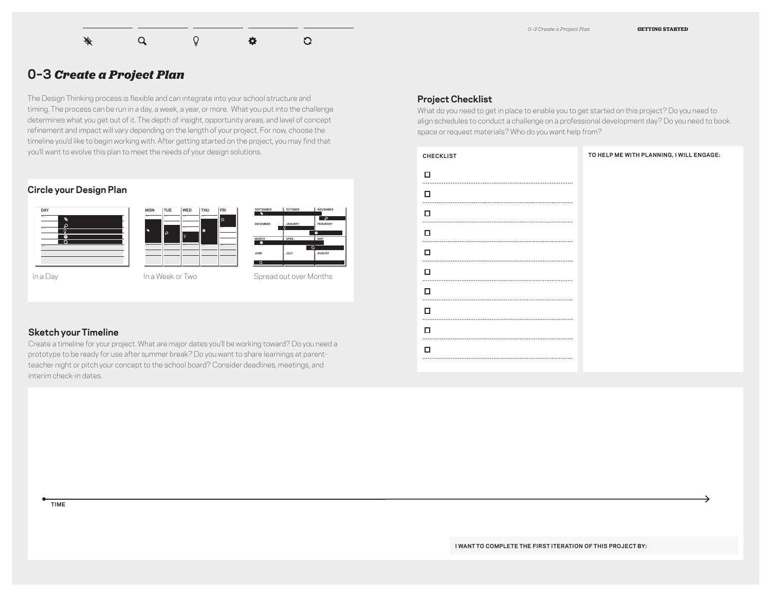

## **0–3** *Create a Project Plan*

The Design Thinking process is flexible and can integrate into your school structure and timing. The process can be run in a day, a week, a year, or more. What you put into the challenge determines what you get out of it. The depth of insight, opportunity areas, and level of concept refinement and impact will vary depending on the length of your project. For now, choose the timeline you'd like to begin working with. After getting started on the project, you may find that you'll want to evolve this plan to meet the needs of your design solutions.

## **Circle your Design Plan**





#### **Sketch your Timeline**

Create a timeline for your project. What are major dates you'll be working toward? Do you need a prototype to be ready for use after summer break? Do you want to share learnings at parentteacher night or pitch your concept to the school board? Consider deadlines, meetings, and interim check-in dates.

#### **Project Checklist**

What do you need to get in place to enable you to get started on this project? Do you need to align schedules to conduct a challenge on a professional development day? Do you need to book space or request materials? Who do you want help from?

| <b>CHECKLIST</b> | TO HELP ME WITH PLANNING, I WILL ENGAGE: |
|------------------|------------------------------------------|
| п                |                                          |
| □                |                                          |
| □                |                                          |
| п                |                                          |
| □                |                                          |
| □                |                                          |
| □                |                                          |
| п                |                                          |
| п                |                                          |
| п                |                                          |
|                  |                                          |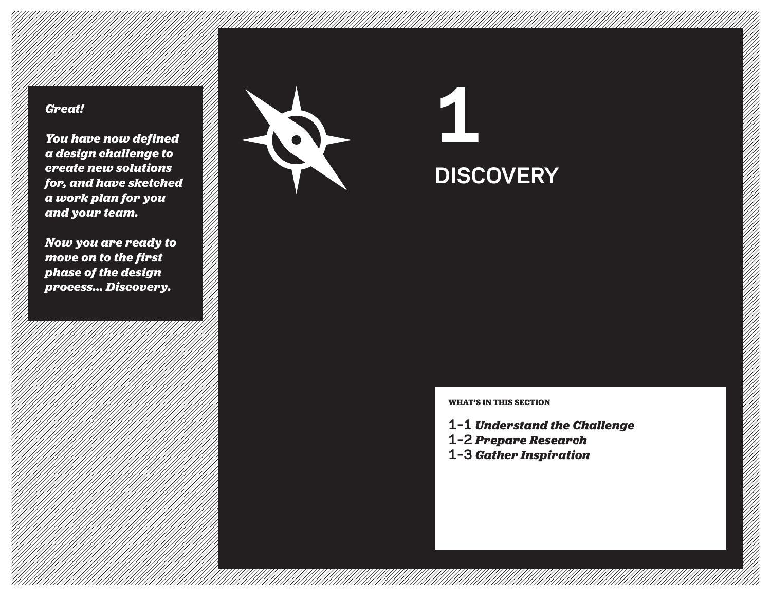*You have now defined a design challenge to create new solutions for, and have sketched a work plan for you and your team.* 

*Now you are ready to move on to the first phase of the design process... Discovery.*



**DISCOVERY**

**WHAT'S IN THIS SECTION**

- **1–1** *Understand the Challenge*
- **1–2** *Prepare Research*
- **1–3** *Gather Inspiration*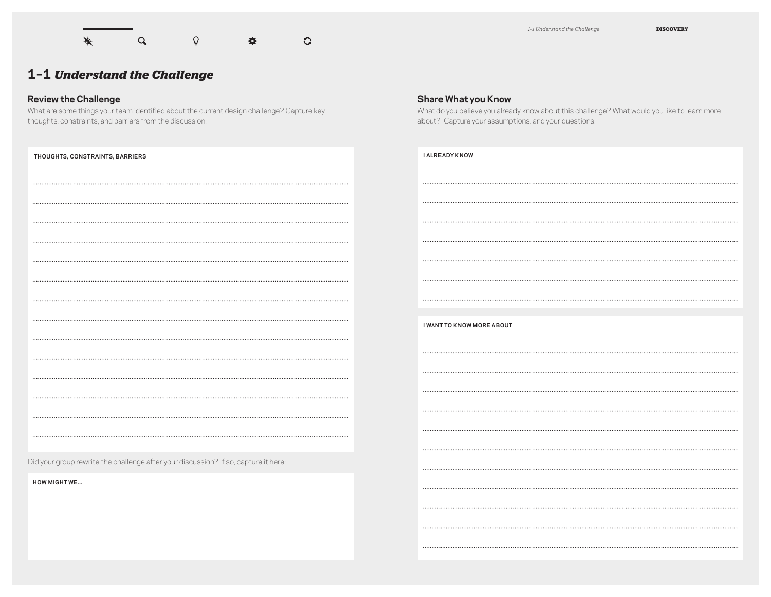

*1–1 Understand the Challenge* **DISCOVERY**

What do you believe you already know about this challenge? What would you like to learn more

**Share What you Know**

about? Capture your assumptions, and your questions.

## **1–1** *Understand the Challenge*

## **Review the Challenge**

What are some things your team identified about the current design challenge? Capture key thoughts, constraints, and barriers from the discussion.

| THOUGHTS, CONSTRAINTS, BARRIERS                                                                            | <b>I ALREADY KNOW</b>            |
|------------------------------------------------------------------------------------------------------------|----------------------------------|
|                                                                                                            |                                  |
|                                                                                                            |                                  |
|                                                                                                            |                                  |
|                                                                                                            |                                  |
|                                                                                                            |                                  |
|                                                                                                            |                                  |
|                                                                                                            |                                  |
|                                                                                                            |                                  |
|                                                                                                            | <b>I WANT TO KNOW MORE ABOUT</b> |
|                                                                                                            |                                  |
|                                                                                                            |                                  |
|                                                                                                            |                                  |
|                                                                                                            |                                  |
|                                                                                                            |                                  |
|                                                                                                            |                                  |
| Did your group rewrite the challenge after your discussion? If so, capture it here:<br><b>HOW MIGHT WE</b> |                                  |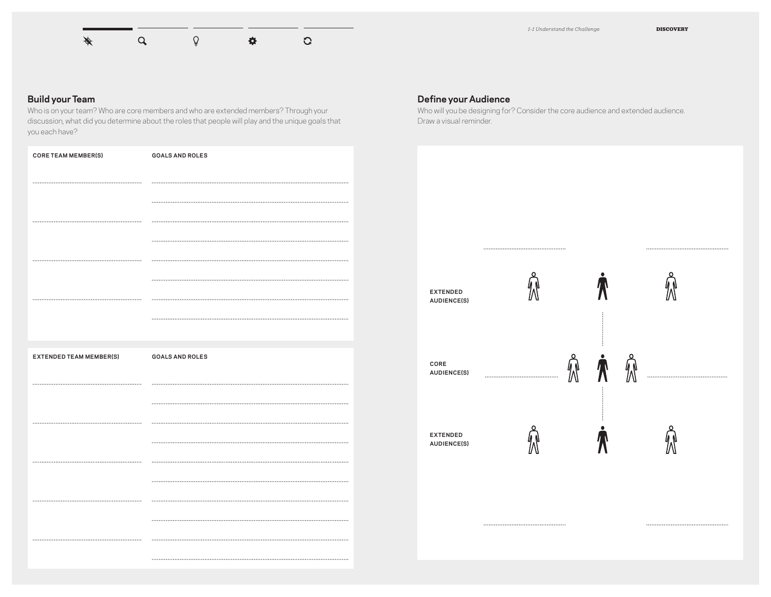

#### **Build your Team**

Who is on your team? Who are core members and who are extended members? Through your discussion, what did you determine about the roles that people will play and the unique goals that you each have?

| <b>CORE TEAM MEMBER(S)</b>     | <b>GOALS AND ROLES</b> |
|--------------------------------|------------------------|
|                                |                        |
|                                |                        |
|                                |                        |
|                                |                        |
|                                |                        |
|                                |                        |
|                                |                        |
|                                |                        |
|                                |                        |
| <b>EXTENDED TEAM MEMBER(S)</b> | <b>GOALS AND ROLES</b> |
|                                |                        |
|                                |                        |
|                                |                        |
|                                |                        |
|                                |                        |
|                                |                        |
|                                |                        |
|                                |                        |
|                                |                        |
|                                |                        |

#### **Define your Audience**

Who will you be designing for? Consider the core audience and extended audience. Draw a visual reminder.



CLASSROOM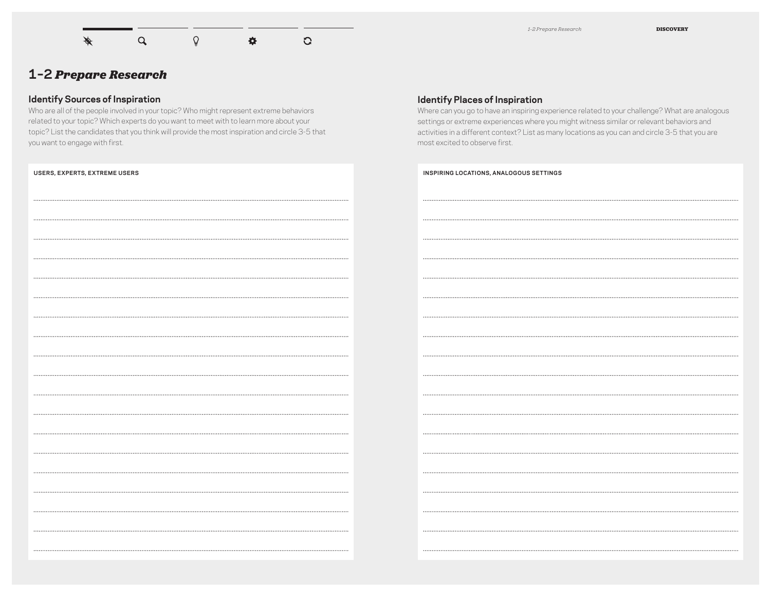$\alpha$  $\bar{\mathbb{Q}}$ ♦  $\ddot{\mathbf{Q}}$ 

 $\overline{G}$ 

**1–2** *Prepare Research*

#### **Identify Sources of Inspiration**

Who are all of the people involved in your topic? Who might represent extreme behaviors related to your topic? Which experts do you want to meet with to learn more about your topic? List the candidates that you think will provide the most inspiration and circle 3-5 that you want to engage with first.

| USERS, EXPERTS, EXTREME USERS |
|-------------------------------|
|                               |
|                               |
|                               |
|                               |
| .                             |
|                               |
|                               |
|                               |
|                               |
|                               |
|                               |
|                               |
|                               |
|                               |
|                               |
|                               |
|                               |
|                               |
|                               |
|                               |

#### **Identify Places of Inspiration**

Where can you go to have an inspiring experience related to your challenge? What are analogous settings or extreme experiences where you might witness similar or relevant behaviors and activities in a different context? List as many locations as you can and circle 3-5 that you are most excited to observe first.

| INSPIRING LOCATIONS, ANALOGOUS SETTINGS |
|-----------------------------------------|
|                                         |
|                                         |
|                                         |
|                                         |
|                                         |
|                                         |
|                                         |
|                                         |
|                                         |
|                                         |
|                                         |
|                                         |
|                                         |
| .                                       |
|                                         |
| $\cdots$                                |
|                                         |
|                                         |
|                                         |
|                                         |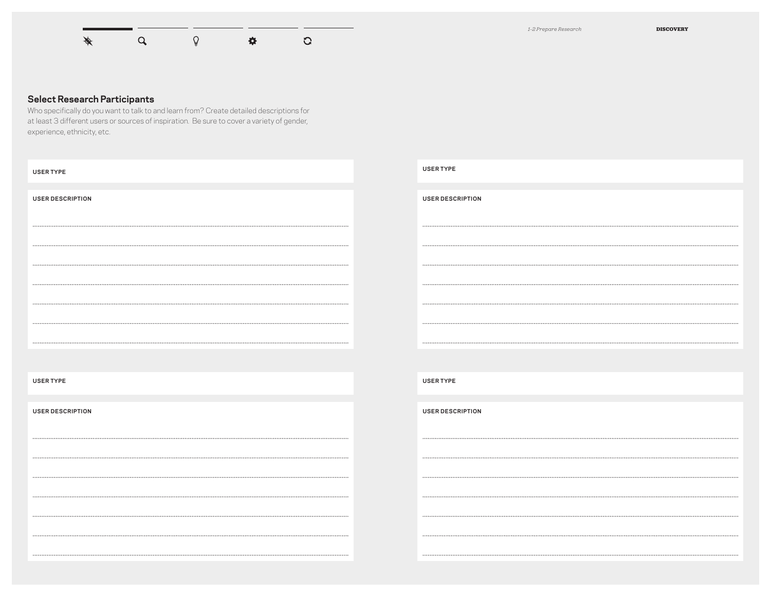

#### **Select Research Participants**

Who specifically do you want to talk to and learn from? Create detailed descriptions for at least 3 different users or sources of inspiration. Be sure to cover a variety of gender, experience, ethnicity, etc.

| <b>USER TYPE</b>        | <b>USER TYPE</b>        |
|-------------------------|-------------------------|
| <b>USER DESCRIPTION</b> | <b>USER DESCRIPTION</b> |
|                         |                         |
|                         |                         |
|                         |                         |
|                         |                         |
|                         |                         |
|                         |                         |
| <b>USER TYPE</b>        | <b>USER TYPE</b>        |
| <b>USER DESCRIPTION</b> | <b>USER DESCRIPTION</b> |
|                         |                         |
|                         |                         |
|                         |                         |
|                         |                         |
|                         |                         |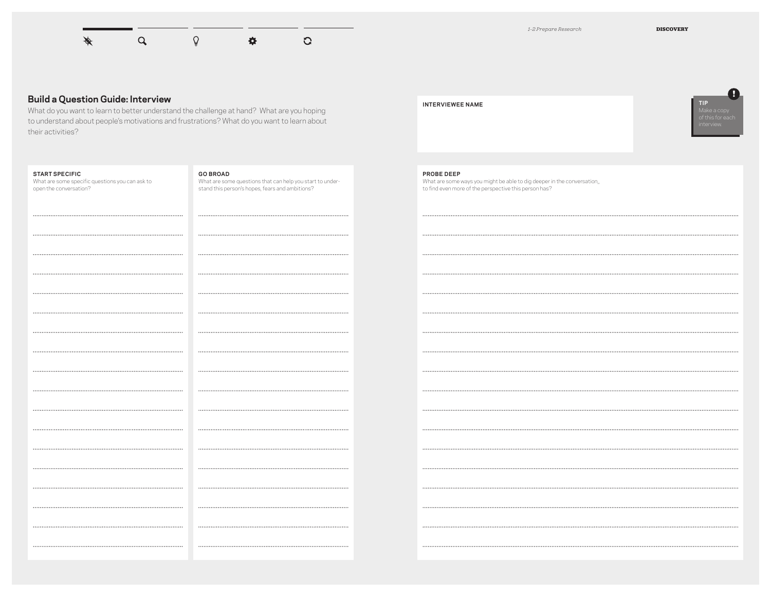

#### **Build a Question Guide: Interview**

What do you want to learn to better understand the challenge at hand? What are you hoping to understand about people's motivations and frustrations? What do you want to learn about their activities?

#### **START SPECIFIC**

What are some specific questions you can ask to open the conversation?

#### **GO BROAD**

.......

 $......$ 

What are some questions that can help you start to understand this person's hopes, fears and ambitions?

#### **INTERVIEWEE NAME**

**PROBE DEEP**



## What are some ways you might be able to dig deeper in the conversation,, to find even more of the perspective this person has?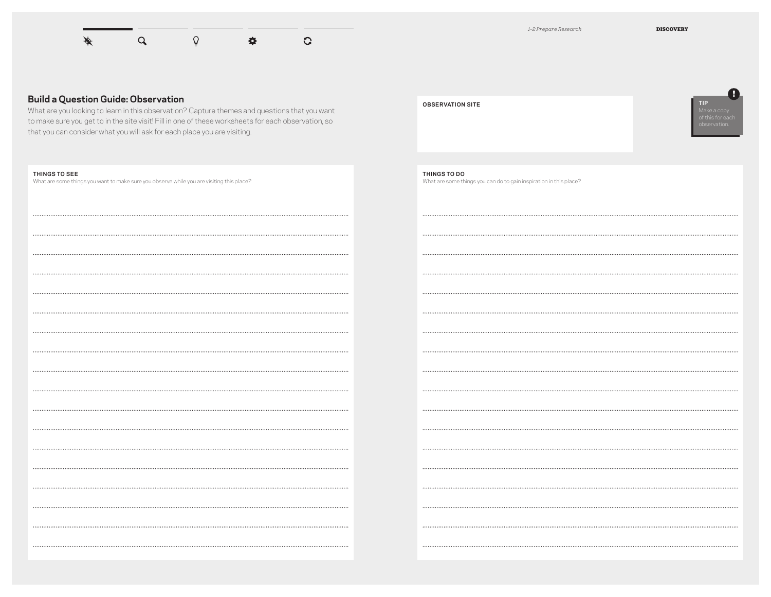

**!**

#### **Build a Question Guide: Observation**

What are you looking to learn in this observation? Capture to make sure you get to in the site visit! Fill in one of these that you can consider what you will ask for each place you

#### **THINGS TO SEE**

What are some things you want to make sure you observe while you are visit

HOW DO PEOPLE INTERACT WITH INFORMATION IN DIFFERENT LOCATIONS?

WHERE DO PEOPLE SEEM TO FOCUS BEST OR LIKE TO STUDY?

| themes and questions that you want<br>worksheets for each observation, so<br>are visiting. | <b>OBSERVATION SITE</b>                                                            | <b>TIP</b><br>Make a copy<br>of this for each<br>observation. |
|--------------------------------------------------------------------------------------------|------------------------------------------------------------------------------------|---------------------------------------------------------------|
| ting this place?                                                                           | THINGS TO DO<br>What are some things you can do to gain inspiration in this place? |                                                               |
|                                                                                            |                                                                                    |                                                               |
|                                                                                            |                                                                                    |                                                               |
|                                                                                            |                                                                                    |                                                               |
|                                                                                            |                                                                                    |                                                               |
|                                                                                            |                                                                                    |                                                               |
|                                                                                            |                                                                                    |                                                               |
|                                                                                            |                                                                                    |                                                               |
|                                                                                            |                                                                                    |                                                               |
|                                                                                            |                                                                                    |                                                               |
|                                                                                            |                                                                                    |                                                               |
|                                                                                            |                                                                                    |                                                               |
|                                                                                            |                                                                                    |                                                               |
|                                                                                            |                                                                                    |                                                               |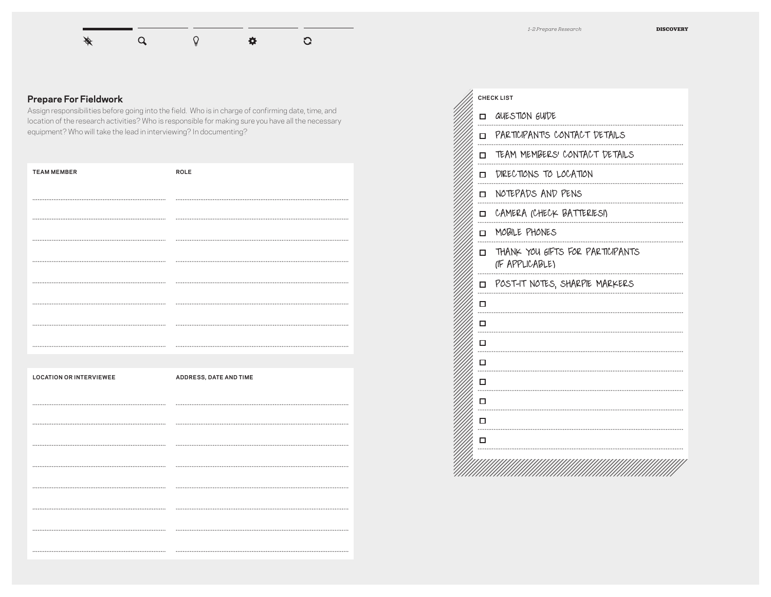

## **Prepare For Fieldwork**

Assign responsibilities before going into the field. Who is in charge of confirming date, time, and location of the research activities? Who is responsible for making sure you have all the necessary equipment? Who will take the lead in interviewing? In documenting?

| <b>TEAM MEMBER</b>             | ROLE                   |
|--------------------------------|------------------------|
|                                |                        |
|                                |                        |
|                                |                        |
|                                |                        |
|                                |                        |
|                                |                        |
|                                |                        |
|                                |                        |
|                                |                        |
| <b>LOCATION OR INTERVIEWEE</b> | ADDRESS, DATE AND TIME |
|                                |                        |
|                                |                        |
|                                |                        |
|                                |                        |
|                                |                        |
|                                |                        |
|                                |                        |
|                                |                        |

| <b>CHECK LIST</b> |                                                     |
|-------------------|-----------------------------------------------------|
| □                 | QUESTION GUIDE                                      |
|                   | O PARTICIPANTS CONTACT DETAILS                      |
| □                 | TEAM MEMBERS' CONTACT DETAILS                       |
| ◻                 | DIRECTIONS TO LOCATION                              |
| □                 | NOTEPADS AND PENS                                   |
| $\Box$            | CAMERA (CHECK BATTERIES!)                           |
| $\Box$            | MOBILE PHONES                                       |
| п                 | THANK YOU GIFTS FOR PARTICIPANTS<br>(IF APPLICABLE) |
| П.                | POST-IT NOTES, SHARPIE MARKERS                      |
| □                 |                                                     |
| п                 |                                                     |
| П                 |                                                     |
| п                 |                                                     |
| □                 |                                                     |
| □                 |                                                     |
| □                 |                                                     |
| □                 |                                                     |
|                   |                                                     |
|                   |                                                     |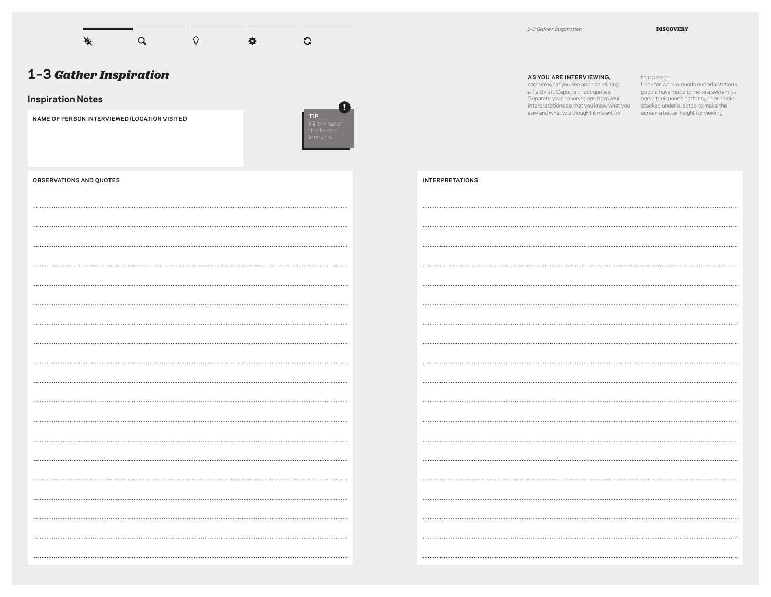

#### **Inspiration Notes**

**NAME OF PERSON INTERVIEWED/LOCATION VISITED**



| 1-3 Gather Inspiration |  |
|------------------------|--|
|------------------------|--|

#### **AS YOU ARE INTERVIEWING,**

capture what you see and hear during a field visit. Capture direct quotes. Separate your observations from your interpretations so that you know what you stacked under a laptop to make the saw and what you thought it meant for screen a better height for viewing.

MORE OPPORTUNITIES TO SURF THE WEB WHILE HE IS WORKING IN SCHOOL.

.......

that person. Look for work-arounds and adaptations people have made to make a system to serve their needs better such as books

| <b>OBSERVATIONS AND QUOTES</b> |
|--------------------------------|
|                                |
|                                |
|                                |
|                                |
|                                |
|                                |
|                                |
|                                |
|                                |
|                                |
|                                |
|                                |
|                                |
|                                |
|                                |
|                                |
|                                |
|                                |
|                                |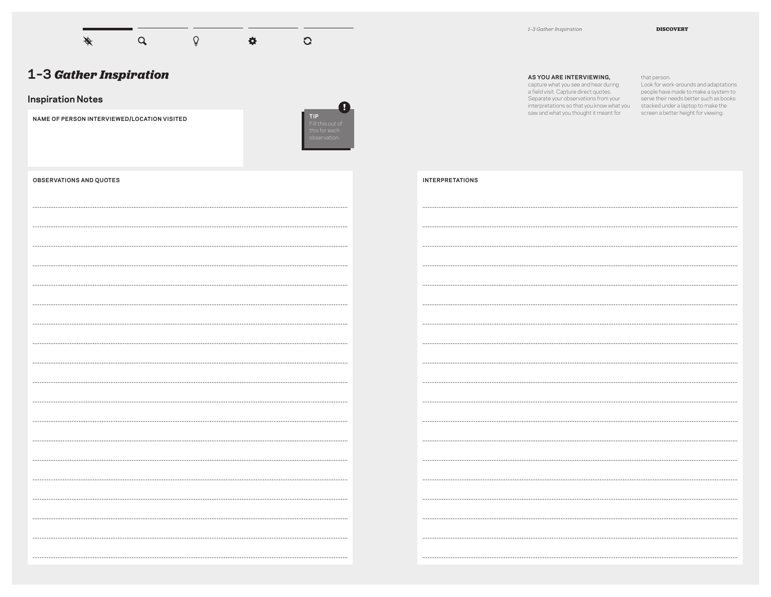

#### **Inspiration Notes**

**NAME OF PERSON INTERVIEWED/LOCATION VISITED**



| 1-3 Gather Inspiration |  |
|------------------------|--|
|------------------------|--|

#### **AS YOU ARE INTERVIEWING,**

capture what you see and hear during a field visit. Capture direct quotes. Separate your observations from your interpretations so that you know what you stacked under a laptop to make the saw and what you thought it meant for

that person. Look for work-arounds and adaptations people have made to make a system to serve their needs better such as books screen a better height for viewing.

| <b>INTERPRETATIONS</b> |  |
|------------------------|--|
|------------------------|--|

| <b>OBSERVATIONS AND QUOTES</b> |
|--------------------------------|
|                                |
|                                |
|                                |
|                                |
|                                |
|                                |
|                                |
|                                |
|                                |
|                                |
|                                |
|                                |
|                                |
|                                |
|                                |
|                                |
|                                |
|                                |
|                                |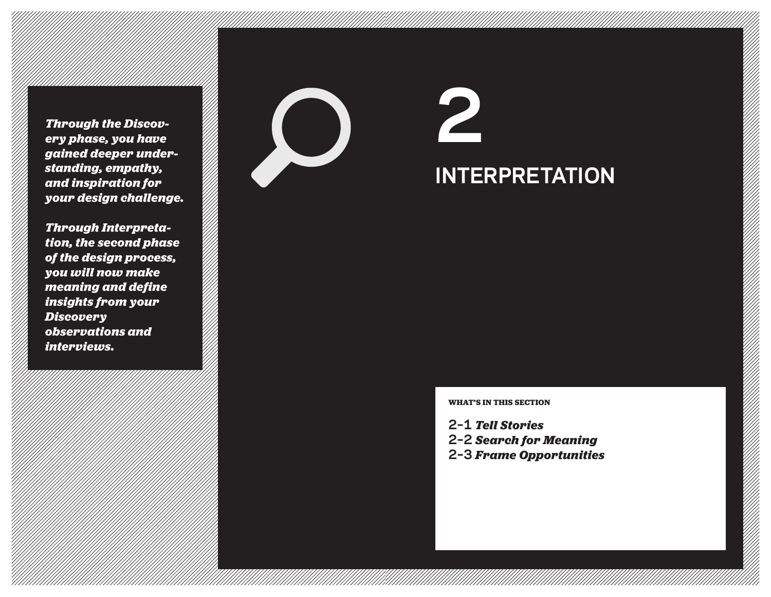*Through the Discovery phase, you have gained deeper understanding, empathy, and inspiration for your design challenge.*

*Through Interpreta tion, the second phase of the design process, you will now make meaning and define insights from your Discovery observations and inte rviews .*



**2 INTERPRETATION**

**WHAT'S IN THIS SE CTION**

**2–1** *Tell Stories* **2–2** *Search for Meaning* **2–3** *Frame Opportunities*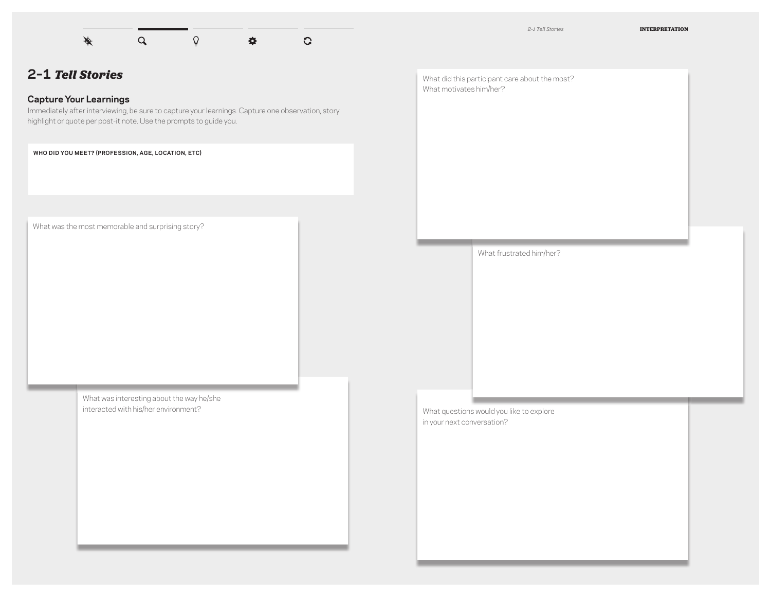

## **2–1** *Tell Stories*

## **Capture Your Learnings**

Immediately after interviewing, be sure to capture your learnings. Capture one observation, story highlight or quote per post-it note. Use the prompts to guide you.

**WHO DID YOU MEET? (PROFESSION, AGE, LOCATION, ETC)**

What was the most memorable and surprising story?

What was interesting about the way he/she interacted with his/her environment?

What did this participant care about the most? What motivates him/her?

What frustrated him/her?

What questions would you like to explore in your next conversation?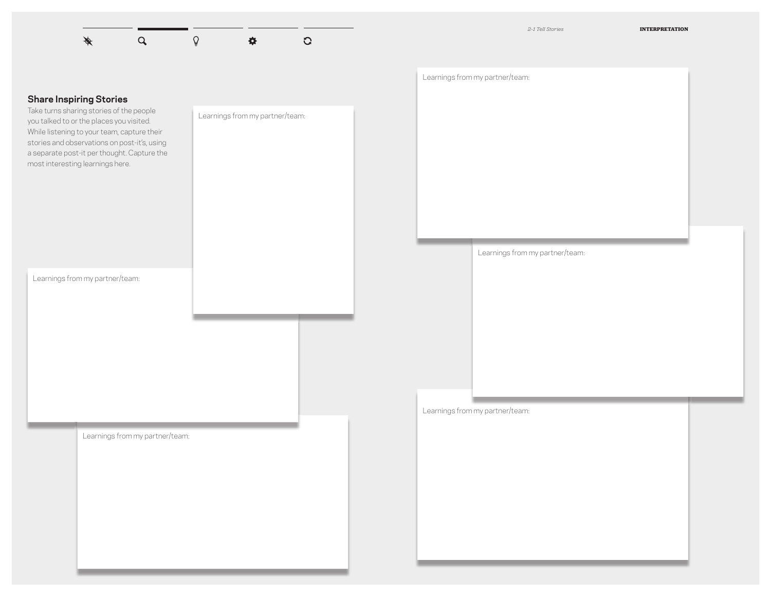

# **Share Inspiring Stories**  Take turns sharing stories of the people you talked to or the places you visited. While listening to your team, capture their stories and observations on post-it's, using a separate post-it per thought. Capture the most interesting learnings here. Learnings from my partner/team: Learnings from my partner/team: Learnings from my partner/team: Learnings from my partner/team: Learnings from my partner/team: Learnings from my partner/team: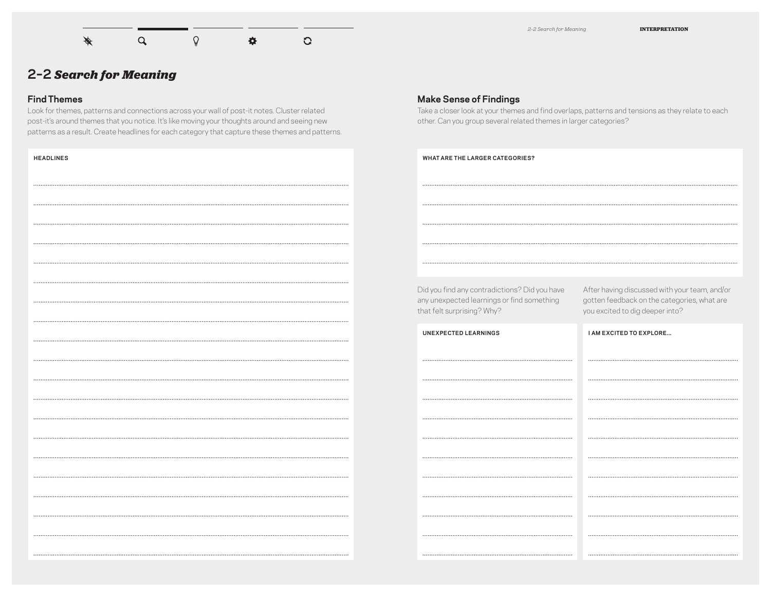

*2–2 Search for Meaning* **INTERPRETATION**

## **2–2** *Search for Meaning*

#### **Find Themes**

**HEADLINES**

Look for themes, patterns and connections across your wall of post-it notes. Cluster related post-it's around themes that you notice. It's like moving your thoughts around and seeing new patterns as a result. Create headlines for each category that capture these themes and patterns.

- STUDENTS DESIRE A VARIETY OF DESK/TABLE WORK OPTIONS

WHILE STILL HAVING OWNERSHIP OVER PERSONAL DESKS.

#### **Make Sense of Findings**

Take a closer look at your themes and find overlaps, patterns and tensions as they relate to each other. Can you group several related themes in larger categories?

- STUDENTS WANTED WANTED ALSO ACCESS WANTED AT THE CONTROL OF THE CONTROL OF THE CONTROL OF THE CONTROL OF THE

Did you find any contradictions? Did you have any unexpected learnings or find something that felt surprising? Why?

After having discussed with your team, and/or gotten feedback on the categories, what are you excited to dig deeper into?

| <b>UNEXPECTED LEARNINGS</b> | <b>I AM EXCITED TO EXPLORE</b> |
|-----------------------------|--------------------------------|
|                             |                                |
|                             |                                |
|                             |                                |
|                             |                                |
|                             |                                |
|                             |                                |
|                             |                                |
|                             |                                |
|                             |                                |
|                             |                                |
|                             |                                |
|                             |                                |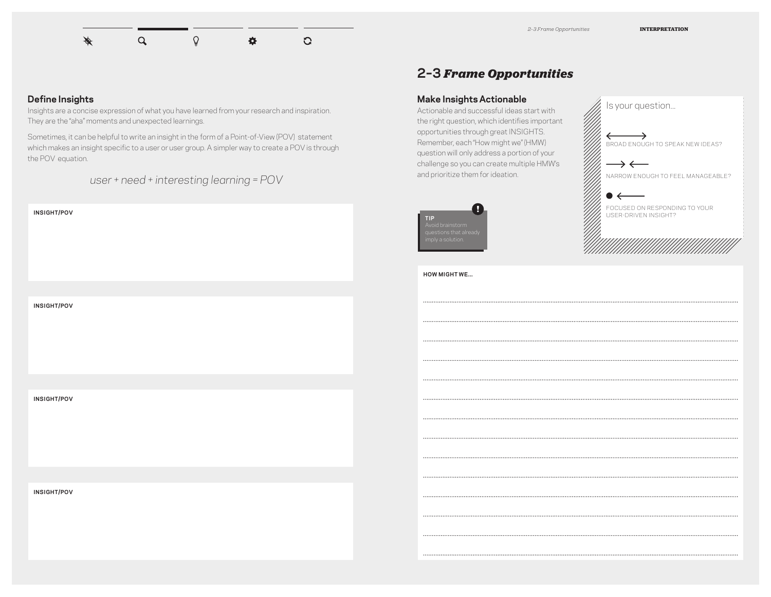#### Á  $\alpha$  $\Omega$ 春 G

## **2–3** *Frame Opportunities*

#### **Make Insights Actionable**

Actionable and successful ideas start with the right question, which identifies important opportunities through great INSIGHTS. Remember, each "How might we" (HMW) question will only address a portion of your challenge so you can create multiple HMW's and prioritize them for ideation.



BROAD ENOUGH TO SPEAK NEW IDEAS?  $\rightarrow$   $\leftarrow$ NARROW ENOUGH TO FEEL MANAGEABLE? FOCUSED ON RESPONDING TO YOUR USER-DRIVEN INSIGHT?

Is your question...

**HOW MIGHT WE...**

#### **Define Insights**

Insights are a concise expression of what you have learned from your research and inspiration. They are the "aha" moments and unexpected learnings.

Sometimes, it can be helpful to write an insight in the form of a Point-of-View (POV) statement which makes an insight specific to a user or user group. A simpler way to create a POV is through the POV equation.

*user + need + interesting learning = POV*



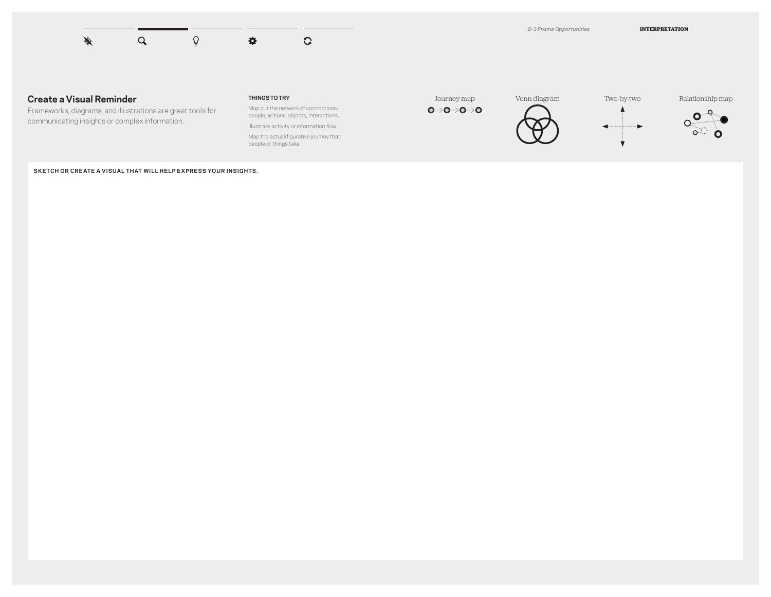

#### **Create a Visual Reminder**

Frameworks, diagrams, and illustrations are great tools for communicating insights or complex information.

#### **THINGS TO TRY**

Map out the network of connectionspeople, actions, objects, interactions. Illustrate activity or information flow.

Map the actual/figurative journey that people or things take.





æ.



 $\blacktriangleright$ 



**SKETCH OR CREATE A VISUAL THAT WILL HELP EXPRESS YOUR INSIGHTS.**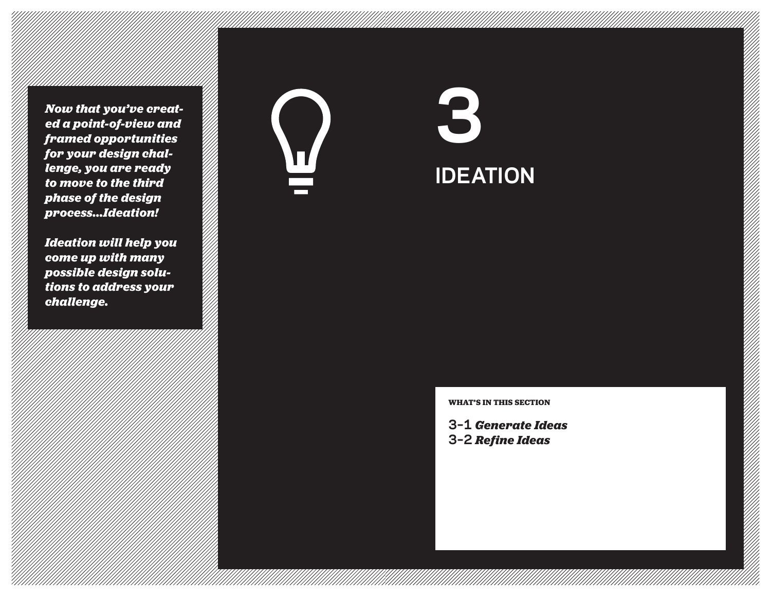*Now that you've created a point-of-view and framed opportunities for your design challenge, you are ready to move to the third phase of the design process...Ideation!*

*Ideation will help you come up with many possible design solu tions to address your challenge.*



**3 IDEATION**

**WHAT'S IN THIS SE CTION**

**3–1**  *Generate Ideas* **3–2** *Refine Ideas*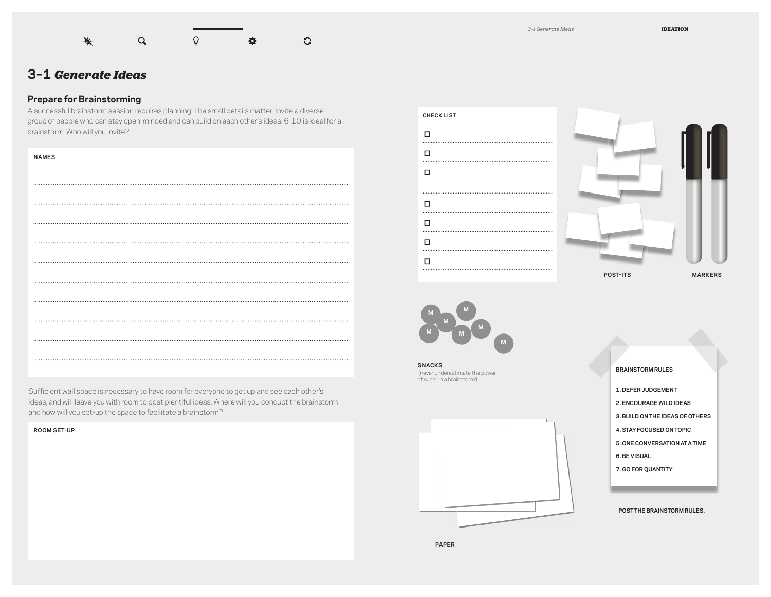

## **3–1** *Generate Ideas*

## **Prepare for Brainstorming**

A successful brainstorm session requires planning. The small details matter. Invite a diverse group of people who can stay open-minded and can build on each other's ideas. 6-10 is ideal for a brainstorm. Who will you invite?

| <b>NAMES</b> |
|--------------|
|              |
|              |
|              |
|              |
|              |
|              |
|              |
|              |
|              |
|              |
|              |

Sufficient wall space is necessary to have room for everyone to get up and see each other's ideas, and will leave you with room to post plentiful ideas. Where will you conduct the brainstorm and how will you set-up the space to facilitate a brainstorm?

#### **ROOM SET-UP**







**SNACKS** (never underestimate the power of sugar in a brainstorm!)





- **3. BUILD ON THE IDEAS OF OTHERS**
- **4. STAYFOCUSED ON TOPIC**
- **5. ONE CONVERSATION ATA TIME**
- **6. BE VISUAL**
- **7. GO FOR QUANTITY**

**POSTTHE BRAINSTORM RULES.**

**PAPER**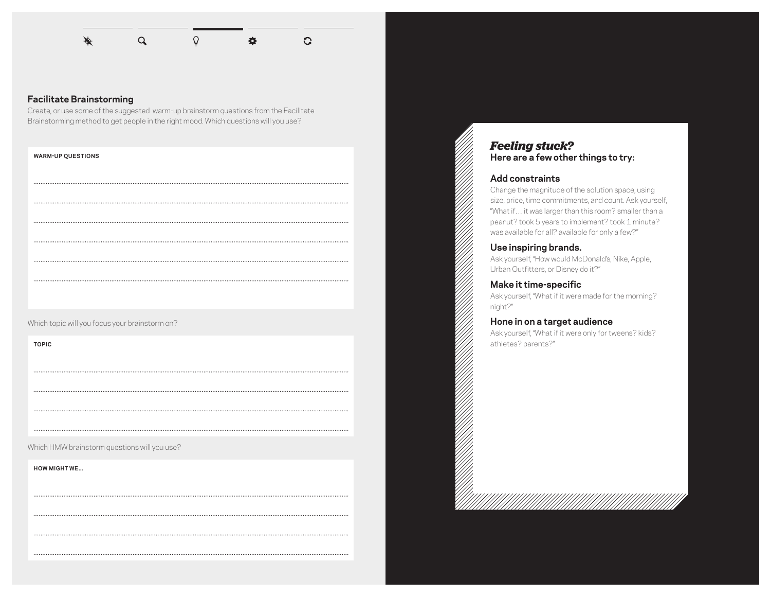

- "NEVER COULD WE EVER." THINK OF THINGS YOU COULD NEVER DO AT

SCHOOL, UNDERWATER, IN A TUXEDO.

#### **Facilitate Brainstorming**

Create, or use some of the suggested warm-up brainstorm questions from the Facilitate Brainstorming method to get people in the right mood. Which questions will you use?

#### **WARM-UP QUESTIONS**

Which topic will you focus your brainstorm on?

**TOPIC**

Which HMW brainstorm questions will you use?

**HOW MIGHT WE...**

## *Feeling stuck?* **Here are a few other things to try:**

#### **Add constraints**

Change the magnitude of the solution space, using size, price, time commitments, and count. Ask yourself, "What if… it was larger than this room? smaller than a peanut? took 5 years to implement? took 1 minute? was available for all? available for only a few?"

#### **Use inspiring brands.**

Ask yourself, "How would McDonald's, Nike, Apple, Urban Outfitters, or Disney do it?"

**Make it time-specific** Ask yourself, "What if it were made for the morning? night?"

#### **Hone in on a target audience**

Ask yourself, "What if it were only for tweens? kids? athletes? parents?"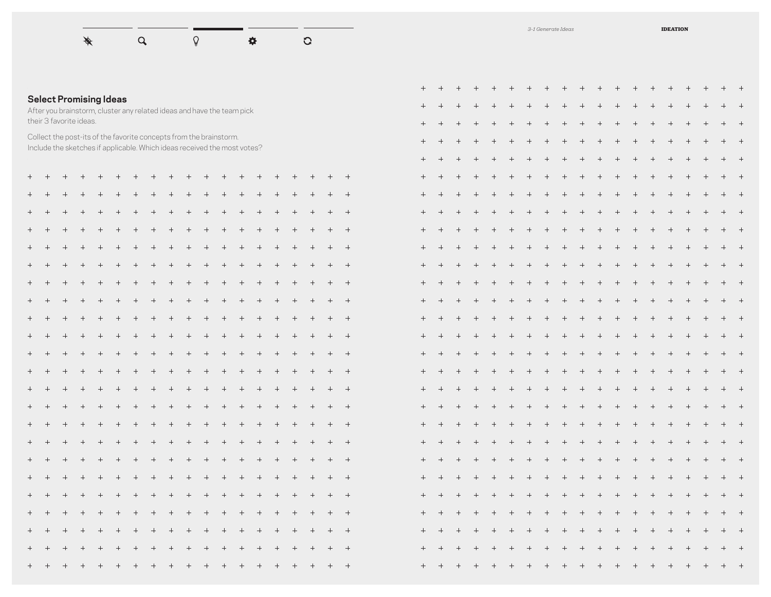

## **Select Promising Ideas**

After you brainstorm, cluster any related ideas and have the team pick their 3 favorite ideas.

Collect the post-its of the favorite concepts from the brainstorm. Include the sketches if applicable. Which ideas received the most votes?

|                     | ┭                 | ┭                 | $^{\mathrm{+}}$  | $^{\mathrm{+}}$   | ┭.               | $^{\mathrm{+}}$   | $^{\mathrm{+}}$   | $^{\mathrm{+}}$                   | $^{\mathrm{+}}$  | $^{\mathrm{+}}$  |                      | ┭.                | ┭                |                  |                  |                     |                  | ┭                |
|---------------------|-------------------|-------------------|------------------|-------------------|------------------|-------------------|-------------------|-----------------------------------|------------------|------------------|----------------------|-------------------|------------------|------------------|------------------|---------------------|------------------|------------------|
|                     | $\! +$            | $\! + \!$         | $^+$             | $\! + \!$         | $\! + \!$        | $\! +$            | $^+$              | $^+$                              | $\! +$           | $^+ \,$          | $\! +$               | $\boldsymbol{+}$  | $^+$             | $\! + \!$        |                  | $\! + \!$           | $^+$             |                  |
| $\boldsymbol{+}$    | $\boldsymbol{+}$  | $\boldsymbol{+}$  | $\boldsymbol{+}$ | $\boldsymbol{+}$  | $\! +$           | $\! +$            | $\boldsymbol{+}$  | $^+$                              | $\boldsymbol{+}$ | $\! +$           | $\! +$               | $\boldsymbol{+}$  |                  |                  |                  | $\! + \!$           |                  |                  |
| $\! + \!$           |                   | $\! + \!$         | $^{+}$           | $\! +$            | $\boldsymbol{+}$ | $\boldsymbol{+}$  | $\qquad \qquad +$ | $\! + \!$                         | $\! +$           | $\! + \!$        | $\boldsymbol{+}$     | $\qquad \qquad +$ | $\! + \!$        | $\! + \!$        | $\! + \!$        | $^{+}$              | $\! + \!$        |                  |
|                     | $\! +$            | $\! + \!$         | $\boldsymbol{+}$ | $\! +$            | $\boldsymbol{+}$ | $\boldsymbol{+}$  | $\boldsymbol{+}$  | $\! +$                            | $\boldsymbol{+}$ | $\boldsymbol{+}$ | $\boldsymbol{+}$     | $\boldsymbol{+}$  | $\boldsymbol{+}$ | $\! + \!$        | $\boldsymbol{+}$ | $\boldsymbol{+}$    | $\boldsymbol{+}$ |                  |
| $^+$                | $\! + \!$         | $\boldsymbol{+}$  | $\! + \!$        | $\! + \!$         | $^+$             | $^+$              | $\boldsymbol{+}$  | $^+$                              | $\boldsymbol{+}$ | $^+$             | $\boldsymbol{+}$     | $\boldsymbol{+}$  | $^+$             | $\boldsymbol{+}$ | $^+$             | $^+$                | $\boldsymbol{+}$ | $\! + \!$        |
| $^+$                | $\boldsymbol{+}$  | $\! + \!$         | $\! + \!$        | $\! + \!$         | $^+$             | $\! +$            | $\boldsymbol{+}$  | $\boldsymbol{+}$                  | $\! +$           | $^+$             | $\! +$               | $\boldsymbol{+}$  | $^+$             | $\boldsymbol{+}$ | $^+$             | $\! + \!$           | $\! + \!$        |                  |
| $\! +$              | $\! +$            | $\boldsymbol{+}$  |                  |                   |                  | $\! + \!$         |                   |                                   | $\boldsymbol{+}$ |                  |                      |                   |                  | $\! + \!$        |                  |                     | $\boldsymbol{+}$ |                  |
| $\! + \!$           | $\qquad \qquad +$ | $\! + \!$         | $^{+}$           | $\! +$            | $\boldsymbol{+}$ | $\boldsymbol{+}$  | $\qquad \qquad +$ | $^+$                              | $\boldsymbol{+}$ | $\boldsymbol{+}$ | $\boldsymbol{+}$     | $\qquad \qquad +$ | $\boldsymbol{+}$ | $\! + \!$        | $\boldsymbol{+}$ | $\boldsymbol{+}$    | $\boldsymbol{+}$ |                  |
|                     | $^{+}$            |                   | $\! + \!$        | $\! + \!$         | $^+ \,$          | $\! + \!$         | $\boldsymbol{+}$  | $^+$                              | $\boldsymbol{+}$ | $^+ \,$          | $\boldsymbol{+}$     | $\boldsymbol{+}$  | $\boldsymbol{+}$ | $\boldsymbol{+}$ | $^+$             | $\! + \!$           |                  |                  |
| $\! +$              | $^+$              |                   | $^+$             |                   | $^+$             |                   | $^+$              | $\hspace{1.0cm} + \hspace{1.0cm}$ | $^+$             | $^+$             | $\! +$               |                   | $^+$             | $\! + \!$        |                  |                     | $^+$             | $\! + \!$        |
|                     | $\qquad \qquad +$ | $\! + \!$         | $\! + \!$        | $\qquad \qquad +$ | $\! + \!$        |                   | $\boldsymbol{+}$  | $\boldsymbol{+}$                  | $\boldsymbol{+}$ | $\! + \!$        | $\qquad \qquad +$    | $\boldsymbol{+}$  | $^+$             | $\! + \!$        |                  | $\! + \!$           | $\boldsymbol{+}$ |                  |
| $\boldsymbol{+}$    | $\! + \!$         | $\boldsymbol{+}$  | $\boldsymbol{+}$ | $\! + \!$         | $\boldsymbol{+}$ | $\! +$            | $\boldsymbol{+}$  | $\boldsymbol{+}$                  | $\! +$           | $\boldsymbol{+}$ | $\boldsymbol{+}$     | $\boldsymbol{+}$  | $\boldsymbol{+}$ | $\! + \!$        | $\boldsymbol{+}$ | $\boldsymbol{+}$    | $\boldsymbol{+}$ | $\boldsymbol{+}$ |
| $\boldsymbol{+}$    | $\boldsymbol{+}$  | $\boldsymbol{+}$  | $\boldsymbol{+}$ | $\boldsymbol{+}$  | $^+ \,$          | $\boldsymbol{+}$  | $\boldsymbol{+}$  | $^+$                              | $\boldsymbol{+}$ | $^+$             | $\! +$               | $\boldsymbol{+}$  | $^+$             | $\boldsymbol{+}$ | $\boldsymbol{+}$ | $^+$                | $\boldsymbol{+}$ | $^+$             |
| $\! + \!$           |                   | $^+$              | $\! + \!$        | $\! + \!$         | $^+ \,$          | $\boldsymbol{+}$  | $\! + \!$         |                                   | $\boldsymbol{+}$ |                  | $\! +$               | $\boldsymbol{+}$  | $\boldsymbol{+}$ | $\! + \!$        | $\! + \!$        | $\! +$              | $\! + \!$        | $\! + \!$        |
| $\hspace{0.02cm} +$ | $\! +$            |                   |                  |                   | $^+$             |                   | $^+$              | $^+$                              | $\boldsymbol{+}$ | $^+$             | $^+$                 |                   |                  | $\! + \!$        |                  |                     | $^+$             | $\! + \!$        |
|                     |                   | $\qquad \qquad +$ | $\! + \!$        | $^{+}$            | $\! + \!$        | $\qquad \qquad +$ | $\boldsymbol{+}$  | $^+$                              | $\! +$           | $^+ \,$          | $\hspace{0.025cm} +$ | $\boldsymbol{+}$  | $^+ \,$          | $\boldsymbol{+}$ | $^+ \,$          | $\hspace{0.025cm}+$ | $^+ \,$          | $\! + \!$        |
| $\hspace{0.02cm} +$ | $\boldsymbol{+}$  | $\boldsymbol{+}$  | $\boldsymbol{+}$ | $\! + \!$         | $\boldsymbol{+}$ | $\boldsymbol{+}$  | $\boldsymbol{+}$  | $\hspace{0.025cm} +$              | $\boldsymbol{+}$ | $\boldsymbol{+}$ | $\boldsymbol{+}$     | $\boldsymbol{+}$  | $\boldsymbol{+}$ | $\! + \!$        | $\boldsymbol{+}$ | $\boldsymbol{+}$    | $\boldsymbol{+}$ | $\! +$           |
| $\boldsymbol{+}$    |                   | $\boldsymbol{+}$  | $^+$             |                   |                  | $^+$              |                   | $^+$                              | $^+$             | $\boldsymbol{+}$ | $\hspace{0.025cm} +$ |                   | $\! +$           | $\boldsymbol{+}$ | $\boldsymbol{+}$ | $\boldsymbol{+}$    | $^+$             |                  |
|                     | $\! +$            | $\boldsymbol{+}$  | $\! +$           |                   | $\! + \!$        | $\! + \!$         | $\boldsymbol{+}$  | $\! +$                            | $\! +$           | $\boldsymbol{+}$ | $\! +$               | $\boldsymbol{+}$  | $^+$             |                  | $\! + \!$        | $\boldsymbol{+}$    | $\boldsymbol{+}$ |                  |
|                     | $\boldsymbol{+}$  |                   | $\! + \!$        |                   | $^+$             | $\! + \!$         | $^+$              | $^+$                              | $^+$             | $^+$             | $^+$                 |                   | $^+$             | $\! + \!$        | $\! + \!$        | $\! + \!$           |                  |                  |
|                     |                   | $\! + \!$         |                  | $\! + \!$         | $^+$             | $\! +$            | $\boldsymbol{+}$  | $^+$                              |                  | $\! + \!$        |                      | $\boldsymbol{+}$  | $^+$             | $\! + \!$        | $^+ \,$          | $\boldsymbol{+}$    | $\boldsymbol{+}$ |                  |
|                     | $^{+}$            | $^{+}$            | $^{+}$           |                   |                  | $^{+}$            |                   |                                   |                  |                  | $+$                  |                   | $^{+}$           | $\! + \!$        | $^{+}$           | $^{+}$              | $^{+}$           |                  |

|                                   | $^{+}$           | $^{+}$           | $^{+}$           | $^{+}$          | $\! + \!$        | $^{+}$            | $^{+}$           | $\! + \!$                         | $\! + \!$                         | $\! + \!$        | $\! + \!$                         | $^{+}$           | $\qquad \qquad +$ | $\! + \!$                         | $^{+}$           | $\! + \!$         | $^{+}$             | $\qquad \qquad +$ |
|-----------------------------------|------------------|------------------|------------------|-----------------|------------------|-------------------|------------------|-----------------------------------|-----------------------------------|------------------|-----------------------------------|------------------|-------------------|-----------------------------------|------------------|-------------------|--------------------|-------------------|
| $\! + \!$                         | $\! +$           | $\! + \!$        |                  |                 | $\! +$           | $^{+}$            | $\! + \!$        | $\! + \!$                         | $^{+}$                            | $\! + \!$        | $\! + \!$                         | $^{+}$           | $\! + \!$         | $\! + \!$                         | $^{+}$           |                   | $^{+}$             | $\! + \!$         |
| $^{+}$                            | $\boldsymbol{+}$ | $\boldsymbol{+}$ | $\boldsymbol{+}$ | $\! +$          | $\boldsymbol{+}$ | $\! + \!$         | $\boldsymbol{+}$ | $\! + \!$                         | $\boldsymbol{+}$                  | $\boldsymbol{+}$ | $^+$                              | $^{+}$           | $\! + \!$         | $\boldsymbol{+}$                  | $\! + \!$        | $\boldsymbol{+}$  | $\! + \!$          | $\! + \!$         |
| $\! + \!$                         | $^+$             | $\boldsymbol{+}$ |                  | $\! + \!\!\!\!$ | $\boldsymbol{+}$ | $\! + \!\!\!\!$   | $\! + \!\!\!\!$  |                                   | $\! + \!\!\!\!$                   | $\boldsymbol{+}$ | $^+$                              | $\boldsymbol{+}$ | $\boldsymbol{+}$  | $\! + \!$                         | $\! + \!$        | $^+$              | $\boldsymbol{+}$   | $\! + \!$         |
|                                   | $\! + \!$        | $\! + \!$        | $\boldsymbol{+}$ | $\! +$          | $\! +$           | $\! + \!\!\!\!$   |                  |                                   | $\! + \!\!\!\!$                   |                  | $\! + \!\!\!\!$                   | $^{+}$           | $\! + \!$         | $\! + \!$                         |                  | $\boldsymbol{+}$  | $\! + \!$          |                   |
| $\! +$                            |                  |                  |                  |                 | $\! +$           | $^{+}$            | $\! +$           | $\! +$                            |                                   |                  |                                   | $\! +$           | $\! + \!$         | $\boldsymbol{+}$                  | $\! + \!$        | $\! + \!$         | $\qquad \qquad +$  | $\! + \!$         |
| $\boldsymbol{+}$                  | $\! + \!\!\!\!$  | $\! + \!\!\!\!$  |                  | $\! + \!\!\!\!$ | $\! + \!\!\!\!$  |                   | $\! + \!\!\!\!$  | $^{+}$                            | $\! + \!$                         |                  |                                   |                  | $\boldsymbol{+}$  | $^+$                              | $\! + \!$        | $^+$              | $^+$               |                   |
| $^{+}$                            | $\! +$           | $\! + \!$        | $\boldsymbol{+}$ | $\! +$          | $\boldsymbol{+}$ | $\boldsymbol{+}$  | $\! + \!$        |                                   | $\! + \!$                         | $\boldsymbol{+}$ | $\! +$                            | $\! + \!$        | $\! + \!$         | $\! + \!$                         | $\! + \!$        | $\boldsymbol{+}$  | $\qquad \qquad +$  | $\! + \!$         |
| $\! + \!$                         | $\! + \!$        | $^+$             |                  |                 |                  | $^{+}$            | $^{+}$           | $\! + \!\!\!\!$                   | $\! + \!\!\!\!$                   |                  | $\hspace{1.0cm} + \hspace{1.0cm}$ | $\! + \!$        | $\! + \!$         | $\! + \!$                         | $^{+}$           | $\qquad \qquad +$ | $^{+}$             | $\! + \!$         |
| $\boldsymbol{+}$                  | $\! +$           | $\! + \!\!\!\!$  | $^+$             |                 | $\! + \!\!\!\!$  |                   | $\! + \!\!\!\!$  |                                   |                                   |                  |                                   | $\boldsymbol{+}$ |                   | $\! + \!$                         | $\! + \!$        | $^+$              | $^+$               |                   |
| $\! + \!$                         | $\! + \!\!\!\!$  |                  | $\! + \!\!\!\!$  | $\! + \!\!\!\!$ |                  | $^+$              |                  |                                   | $\hspace{1.0cm} + \hspace{1.0cm}$ |                  | $\! + \!\!\!\!$                   | $^+$             | $^+$              | $\hspace{1.0cm} + \hspace{1.0cm}$ | $\boldsymbol{+}$ | $^+$              | $\hspace{1.0cm} +$ | $^+$              |
| $\hspace{1.0cm} + \hspace{1.0cm}$ | $\! + \!\!\!\!$  |                  | $\! + \!\!\!\!$  | $\! + \!\!\!\!$ | $\! + \!\!\!\!$  | $^{+}$            |                  |                                   | $\! + \!\!\!\!$                   |                  | $\! + \!\!\!\!$                   | $^{+}$           | $\! + \!$         | $\! + \!$                         |                  | $\qquad \qquad +$ | $\qquad \qquad +$  | $\qquad \qquad +$ |
| $\hspace{1.0cm} + \hspace{1.0cm}$ |                  | $\! + \!$        |                  | $\! + \!$       |                  | $\! + \!$         | $\! + \!$        | $\! + \!$                         | $\! + \!$                         | $+$              | $\! + \!$                         | $\! + \!$        | $\! + \!$         |                                   | $\! + \!$        |                   | $\! + \!$          |                   |
| $\qquad \qquad +$                 | $\! + \!\!\!\!$  |                  |                  |                 | $+$              | $\qquad \qquad +$ |                  |                                   |                                   |                  | $\! + \!$                         | $^{+}$           | $\! + \!$         | $\! + \!$                         |                  | $\! + \!$         | $\! + \!$          |                   |
|                                   |                  | $\boldsymbol{+}$ |                  | $\! +$          | $\! +$           |                   | $\boldsymbol{+}$ | $\! + \!$                         |                                   | $\! + \!$        | $\! + \!$                         | $\! + \!$        |                   | $\! + \!$                         |                  | $\! + \!$         | $\! + \!$          | $\boldsymbol{+}$  |
| $^{+}$                            | $\boldsymbol{+}$ | $\boldsymbol{+}$ | $\boldsymbol{+}$ | $\! +$          |                  | $\! +$            | $\boldsymbol{+}$ | $\! + \!$                         |                                   | $\boldsymbol{+}$ | $\! + \!\!\!\!$                   | $\boldsymbol{+}$ | $\boldsymbol{+}$  | $\! +$                            |                  | $^+$              | $\! + \!$          | $\boldsymbol{+}$  |
|                                   |                  |                  |                  | $^+$            |                  |                   |                  |                                   |                                   |                  | $\! + \!\!\!\!$                   |                  |                   |                                   |                  |                   | $^{+}$             |                   |
| $\hspace{1.0cm} + \hspace{1.0cm}$ |                  |                  |                  |                 |                  | $\! + \!$         | $\! + \!$        |                                   | $\! + \!$                         | $\boldsymbol{+}$ | $\! + \!\!\!\!$                   | $\! + \!$        |                   | $\! + \!$                         |                  | $\! + \!$         | $\! + \!$          | $\boldsymbol{+}$  |
| $\qquad \qquad +$                 |                  | $\boldsymbol{+}$ | $\boldsymbol{+}$ | $^+$            | $^+$             | $\! + \!$         |                  | $\! + \!$                         | $\! + \!$                         | $^+$             | $\! + \!$                         | $\! + \!$        |                   | $^+$                              |                  | $\boldsymbol{+}$  | $\boldsymbol{+}$   | $\boldsymbol{+}$  |
|                                   |                  |                  |                  |                 |                  |                   |                  |                                   |                                   |                  | $\! + \!$                         |                  |                   |                                   |                  |                   | $\boldsymbol{+}$   |                   |
| $\! + \!$                         | $\! +$           | $\boldsymbol{+}$ | $\boldsymbol{+}$ | $^+$            |                  | $\! + \!$         | $\boldsymbol{+}$ | $\! + \!$                         |                                   |                  | $\! + \!$                         |                  |                   |                                   |                  |                   | $\! + \!$          |                   |
| $\! + \!$                         | $\! + \!$        | $\! + \!$        | $^+ \,$          | $^+$            | $^+$             | $\! + \!$         | $^+$             | $\! + \!$                         |                                   | $^+$             | $\! + \!$                         | $^{+}$           | $\! + \!$         | $\! + \!$                         | $\! + \!$        | $^+$              | $^+$               | $^+$              |
| $\! + \!$                         |                  |                  |                  |                 |                  |                   |                  | $\! + \!$                         |                                   |                  |                                   | $\! + \!$        | $\boldsymbol{+}$  | $\! + \!$                         |                  | $\! + \!$         | $\! +$             | $\boldsymbol{+}$  |
| $\boldsymbol{+}$                  |                  | $\! + \!$        |                  |                 |                  |                   | $\! + \!$        |                                   |                                   | $^+$             |                                   |                  |                   | $\! + \!$                         |                  | $^+$              | $\boldsymbol{+}$   | $\boldsymbol{+}$  |
| $\hspace{1.0cm} + \hspace{1.0cm}$ |                  | $\boldsymbol{+}$ |                  | $^+$            | $\! +$           |                   | $\boldsymbol{+}$ | $\hspace{1.0cm} + \hspace{1.0cm}$ | $\! + \!\!\!\!$                   |                  | $\! + \!\!\!\!$                   | $\boldsymbol{+}$ |                   |                                   | $\! + \!$        |                   | $\! + \!$          |                   |
| $^{+}$                            |                  | $\boldsymbol{+}$ | $^{+}$           |                 |                  | $\! + \!$         |                  | $\! + \!$                         | $\! + \!$                         |                  | $\! + \!$                         | $^{+}$           | $^{+}$            | $\! + \!$                         |                  | $^+$              | $\! + \!$          |                   |
| $\boldsymbol{+}$                  | $^+$             | $^+$             |                  |                 |                  |                   |                  |                                   |                                   |                  |                                   |                  |                   | $\! + \!$                         |                  |                   | $\! +$             |                   |
| $^{+}$                            | $+$              | $+$              | $^{+}$           | $^{+}$          | $+$              | $+$               | $+$              | $^{+}$                            | $^{+}$                            | $+$              | $^{+}$                            | $+$              | $+$               | $+$                               | $+$              | $+$               | $+$                | $+$               |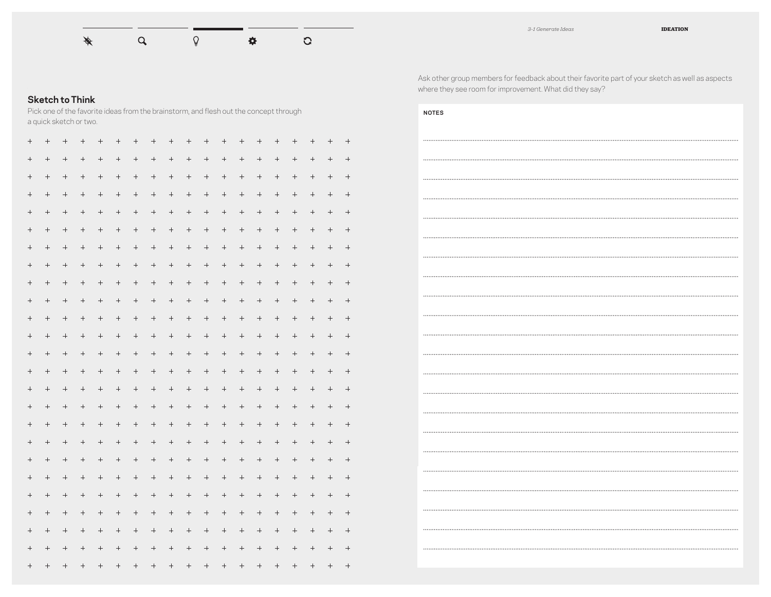

## **Sketch to Think**

Pick one of the favorite ideas from the brainstorm, and flesh out the concept through a quick sketch or two.

| $^{+}$          | $^{+}$           | $^{+}$           |                                   | $^{+}$           | $^{+}$               | $^{+}$           |                    | $^{+}$           | $^{+}$           | $^{+}$               | $\ddot{}$        | $^{+}$            | $^{+}$                            | $^{+}$           | $^{+}$              | $^{+}$           | $^{+}$           | $^{+}$          |
|-----------------|------------------|------------------|-----------------------------------|------------------|----------------------|------------------|--------------------|------------------|------------------|----------------------|------------------|-------------------|-----------------------------------|------------------|---------------------|------------------|------------------|-----------------|
| $\! + \!$       | $\boldsymbol{+}$ | $\boldsymbol{+}$ | $^+$                              | $\boldsymbol{+}$ | $\boldsymbol{+}$     | $\! +$           | $\boldsymbol{+}$   | $\! + \!$        | $\! + \!$        | $\boldsymbol{+}$     |                  |                   | $\! + \!$                         | $\boldsymbol{+}$ | $\boldsymbol{+}$    | $\boldsymbol{+}$ | $\boldsymbol{+}$ | $^+$            |
|                 | $\boldsymbol{+}$ | $\boldsymbol{+}$ | $^+$                              | $\! + \!$        | $^+ \,$              | $\boldsymbol{+}$ | $\hspace{1.0cm} +$ | $\boldsymbol{+}$ | $\! + \!$        | $\boldsymbol{+}$     | $\boldsymbol{+}$ | $\boldsymbol{+}$  | $^+$                              |                  | $\boldsymbol{+}$    | $\! + \!\!\!\!$  | $\boldsymbol{+}$ | $\! + \!$       |
| $^{+}$          | $+$              |                  |                                   | $+$              | $^+$                 | $\! +$           | $\boldsymbol{+}$   | $^+$             | $+$              |                      |                  | $\boldsymbol{+}$  | $^+$                              | $+$              |                     | $+$              | $\! + \!\!\!\!$  |                 |
| $^{+}$          | $\boldsymbol{+}$ | $\boldsymbol{+}$ | $\! + \!$                         | $\! +$           | $\hspace{0.025cm}+$  | $\boldsymbol{+}$ | $\boldsymbol{+}$   | $\boldsymbol{+}$ | $\! + \!$        | $\hspace{0.025cm} +$ | $\! + \!$        | $\boldsymbol{+}$  | $\! +$                            | $\! +$           | $\boldsymbol{+}$    | $\! +$           | $\boldsymbol{+}$ | $\! + \!$       |
|                 | $\! + \!\!\!\!$  |                  |                                   |                  |                      |                  | $^+$               |                  | $^{+}$           |                      | $^{+}$           |                   | $^+$                              |                  |                     |                  |                  | $^{+}$          |
| $^{+}$          | $\! + \!\!\!\!$  |                  |                                   |                  |                      |                  | $\boldsymbol{+}$   | $\boldsymbol{+}$ |                  | $\boldsymbol{+}$     | $\! + \!$        | $^+$              | $\! +$                            | $\boldsymbol{+}$ |                     | $\! +$           |                  |                 |
| $^{+}$          | $^{+}$           |                  | $\! + \!$                         |                  | $^{+}$               |                  | $^{+}$             | $\! + \!$        | $\boldsymbol{+}$ | $\! + \!$            | $^{+}$           | $\! + \!$         | $^+$                              | $\boldsymbol{+}$ | $\boldsymbol{+}$    | $\boldsymbol{+}$ | $\boldsymbol{+}$ | $\! + \!$       |
| $^{+}$          | $^{+}$           |                  | $+$                               | $^{+}$           | $\! + \!\!\!\!$      | $+$              |                    | $^+$             |                  | $^+$                 |                  |                   | $\! + \!\!\!\!$                   | $+$              |                     | $+$              | $\! + \!\!\!\!$  |                 |
|                 | $\! + \!$        |                  |                                   |                  |                      |                  |                    | $\! +$           | $\! + \!$        | $\boldsymbol{+}$     | $\! + \!$        | $\! + \!$         | $\boldsymbol{+}$                  | $\! + \!$        | $\boldsymbol{+}$    | $\boldsymbol{+}$ |                  |                 |
| $^{+}$          | $\! + \!$        |                  |                                   | $\! +$           | $^+$                 | $\boldsymbol{+}$ |                    | $\boldsymbol{+}$ | $^{+}$           | $\boldsymbol{+}$     |                  |                   | $\! +$                            |                  | $^+$                | $\boldsymbol{+}$ | $\boldsymbol{+}$ | $^{+}$          |
| $^{+}$          | $\! + \!\!\!\!$  |                  | $\! + \!\!\!\!$                   | $^{+}$           |                      |                  |                    |                  | $\! + \!$        |                      | $\! + \!$        | $\boldsymbol{+}$  | $\boldsymbol{+}$                  | $\boldsymbol{+}$ |                     | $\! +$           | $\! + \!\!\!\!$  | $\! + \!\!\!\!$ |
|                 |                  | $\boldsymbol{+}$ | $^{+}$                            | $\boldsymbol{+}$ | $\boldsymbol{+}$     | $\boldsymbol{+}$ | $\! + \!$          | $\! + \!$        |                  | $\boldsymbol{+}$     |                  | $\! + \!$         | $\boldsymbol{+}$                  | $\boldsymbol{+}$ | $\hspace{0.025cm}+$ | $\boldsymbol{+}$ | $\boldsymbol{+}$ | $^+$            |
| $\! + \!\!\!\!$ | $+$              |                  |                                   | $\boldsymbol{+}$ |                      | $\! + \!$        | $^+$               |                  | $\! + \!$        | $^+$                 |                  | $^+$              |                                   | $+$              |                     | $+$              | $\! + \!\!\!\!$  | $+$             |
| $^{+}$          |                  |                  | $\! + \!\!\!\!$                   |                  |                      | $\! + \!$        | $\boldsymbol{+}$   | $\boldsymbol{+}$ | $\boldsymbol{+}$ | $\boldsymbol{+}$     | $\! + \!$        | $\boldsymbol{+}$  | $\! +$                            | $\boldsymbol{+}$ | $\boldsymbol{+}$    | $\boldsymbol{+}$ | $\boldsymbol{+}$ |                 |
| $^{+}$          | $\! + \!\!\!\!$  |                  |                                   | $\boldsymbol{+}$ |                      |                  | $\! + \!$          | $^{+}$           | $^{+}$           | $^{+}$               |                  |                   | $\! + \!\!\!\!$                   |                  |                     | $\! + \!\!\!\!$  | $\! + \!\!\!\!$  |                 |
| $\! + \!\!\!\!$ | $+$              | $+$              |                                   | $+$              |                      | $+$              |                    | $+$              | $+$              |                      | $^{+}$           |                   |                                   | $^{+}$           |                     | $+$              | $+$              |                 |
|                 | $\! + \!\!\!\!$  |                  | $\hspace{1.0cm} + \hspace{1.0cm}$ | $\! + \!$        | $\hspace{0.025cm} +$ | $\! +$           |                    | $\boldsymbol{+}$ | $\! + \!$        |                      |                  |                   | $\hspace{1.0cm} + \hspace{1.0cm}$ |                  | $\! + \!\!\!\!$     | $\! + \!\!\!\!$  | $\! + \!\!\!\!$  |                 |
| $^{+}$          | $+$              |                  | $^{+}$                            |                  | $^+$                 | $\! + \!$        | $\qquad \qquad +$  | $\! + \!$        |                  | $\! + \!$            |                  | $\qquad \qquad +$ | $\! + \!$                         | $+$              |                     | $\! +$           | $\! + \!\!\!\!$  |                 |
| $^{+}$          | $\boldsymbol{+}$ |                  | $\! +$                            | $\boldsymbol{+}$ | $\hspace{0.025cm} +$ | $\boldsymbol{+}$ | $\boldsymbol{+}$   | $\boldsymbol{+}$ | $\boldsymbol{+}$ | $\hspace{0.025cm} +$ |                  | $\boldsymbol{+}$  |                                   | $\boldsymbol{+}$ | $\boldsymbol{+}$    | $\! +$           |                  |                 |
| $^{+}$          | $\boldsymbol{+}$ |                  |                                   | $\boldsymbol{+}$ |                      |                  | $\! + \!$          | $\! + \!$        |                  |                      | $^{+}$           |                   | $\boldsymbol{+}$                  |                  | $^+$                | $\boldsymbol{+}$ |                  | $^+$            |
|                 | $^{+}$           |                  | $+$                               |                  | $\! + \!\!\!\!$      | $\! + \!\!\!\!$  |                    | $^+$             | $\! +$           |                      | $^{+}$           |                   | $+$                               | $+$              | $+$                 | $+$              | $^{+}$           | $+$             |
|                 |                  |                  |                                   |                  |                      |                  |                    |                  | $\! + \!$        |                      |                  |                   | $\! + \!\!\!\!$                   |                  |                     | $\! + \!\!\!\!$  | $\! + \!\!\!\!$  | $^{+}$          |
| $^{+}$          |                  |                  |                                   | $^+$             |                      |                  | $\qquad \qquad +$  |                  |                  |                      | $^{+}$           |                   | $\qquad \qquad +$                 |                  |                     |                  |                  | $^{+}$          |
|                 | $^{+}$           | $\boldsymbol{+}$ |                                   | $\! +$           | $\boldsymbol{+}$     | $\boldsymbol{+}$ | $\boldsymbol{+}$   | $\boldsymbol{+}$ | $\boldsymbol{+}$ | $\boldsymbol{+}$     | $\boldsymbol{+}$ | $\boldsymbol{+}$  | $\boldsymbol{+}$                  | $\boldsymbol{+}$ | $\hspace{0.025cm}+$ | $\boldsymbol{+}$ | $\boldsymbol{+}$ |                 |

Ask other group members for feedback about their favorite part of your sketch as well as aspects where they see room for improvement. What did they say?

| <b>NOTES</b> |
|--------------|
|              |
|              |
|              |
|              |
|              |
|              |
| .            |
|              |
|              |
|              |
|              |
|              |
|              |
| .            |
|              |
|              |
|              |
|              |
| .            |
|              |
| .            |
|              |
|              |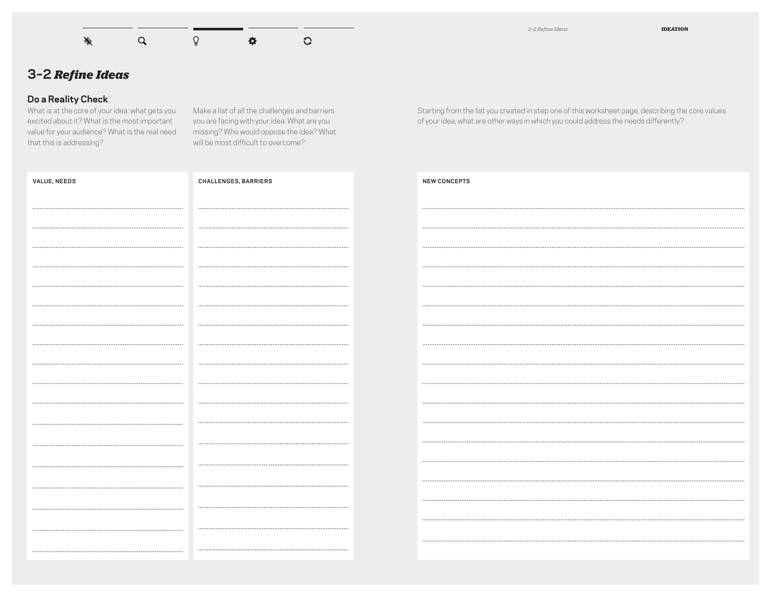

*3–2 Refine Ideas* **IDEATION**

## **3–2** *Refine Ideas*

#### **Do a Reality Check**

What is at the core of your idea: what gets you excited about it? What is the most important value for your audience? What is the real need that this is addressing?

Make a list of all the challenges and barriers you are facing with your idea. What are you missing? Who would oppose the idea? What will be most difficult to overcome?

Starting from the list you created in step one of this worksheet page, describing the core values of your idea, what are other ways in which you could address the needs differently?

| <b>VALUE, NEEDS</b> | <b>CHALLENGES, BARRIERS</b> | <b>NEW CONCEPTS</b> |
|---------------------|-----------------------------|---------------------|
|                     |                             |                     |
|                     |                             |                     |
|                     |                             |                     |
|                     |                             |                     |
|                     |                             |                     |
|                     |                             |                     |
|                     |                             |                     |
|                     |                             |                     |
|                     |                             |                     |
|                     |                             |                     |
|                     |                             |                     |
|                     |                             |                     |
|                     |                             |                     |
|                     |                             |                     |
|                     |                             |                     |
|                     |                             |                     |
|                     |                             |                     |
|                     |                             |                     |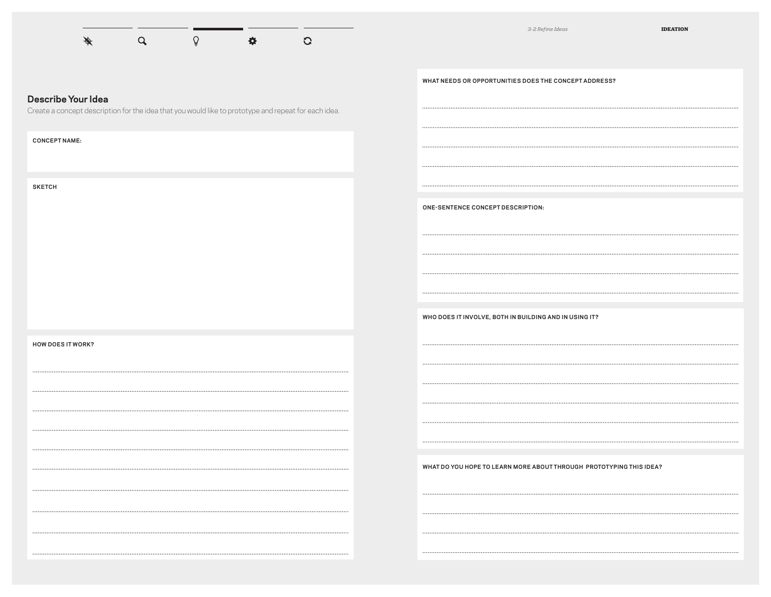

ENABLES STUDENTS TO CONTINUE TO HAVE PERSONALIZED DESKS THAT

THE MURPHY DESK, FOLD UP THE LEAVES FOR PRIVACY, FOLD OUT TO CREATE

**WHAT NEEDS OR OPPORTUNITIES DOES THE CONCEPT ADDRESS?**

#### **Describe Your Idea**

Create a concept description for the idea that you would like to prototype and repeat for each idea.

FOLD OUT TO GIVE THEM MORE WORKSPACE WHEN THE STUDENTS WANT TO

**CONCEPT NAME:**

**SKETCH**

**HOW DOES IT WORK?**

**WHAT DO YOU HOPE TO LEARN MORE ABOUT THROUGH PROTOTYPING THIS IDEA?**

VOLUNTEER PARENTS

- CLASSROOM STUDENTS AND AFTER-SCHOOL ACTIVITIES GROUP WILL BENEFIT

**WHO DOES IT INVOLVE, BOTH IN BUILDING AND IN USING IT?**

**ONE-SENTENCE CONCEPT DESCRIPTION:**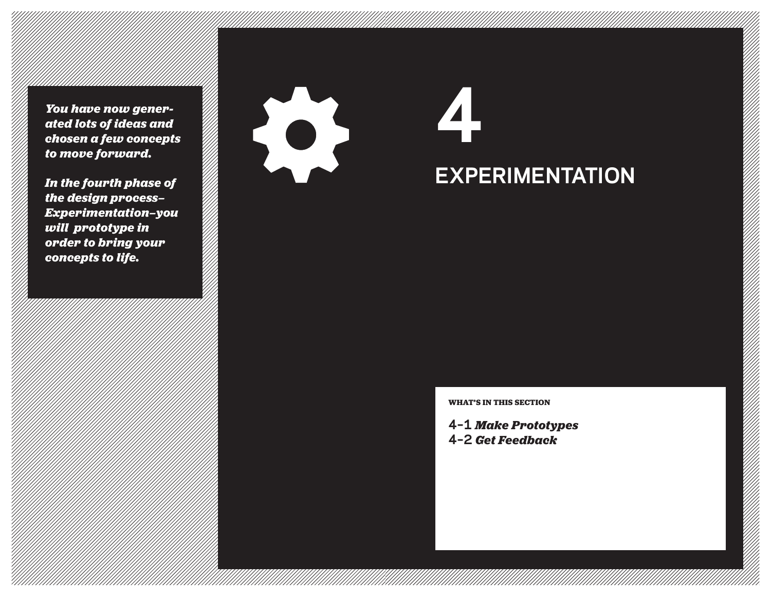*You have now generated lots of ideas and chosen a few concepts to move forward.*

*In the fourth phase of the design process— Experimentation—you will prototype in order to bring your concepts to life.*



# **4 EXPERIMENTATION**

**WHAT'S IN THIS SECTION**

**4–1** *Make Prototypes* **4–2** *Get Feedback*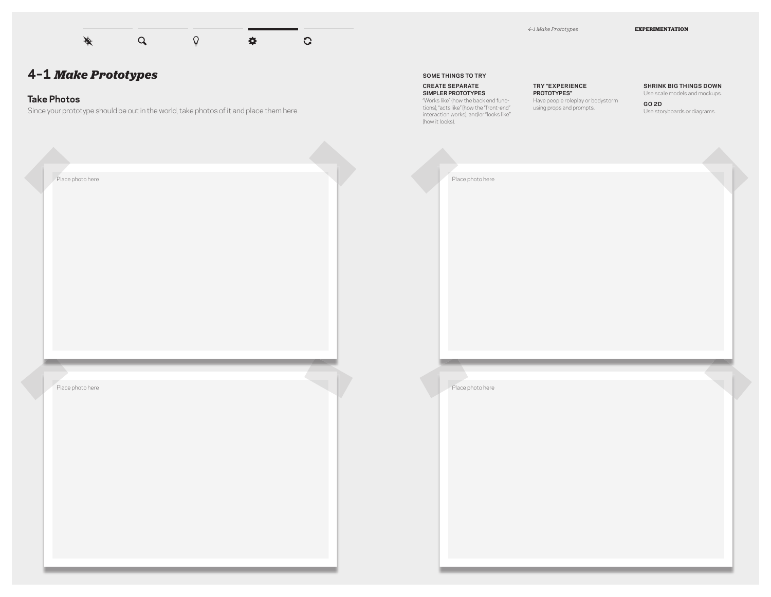

## **Take Photos**

Since your prototype should be out in the world, take photos of it and place them here.

*4–1 Make Prototypes* **EXPERIMENTATION**

**SOME THINGS TO TRY**

**CREATE SEPARATE SIMPLER PROTOTYPES** "Works like" (how the back end functions), "acts like" (how the "front-end" interaction works), and/or "looks like" (how it looks).

#### **TRY "EXPERIENCE**

**PROTOTYPES"** Have people roleplay or bodystorm using props and prompts.

#### **SHRINK BIG THINGS DOWN**

Use scale models and mockups. **GO 2D** Use storyboards or diagrams.

Place photo here Place photo here Place photo here Place photo here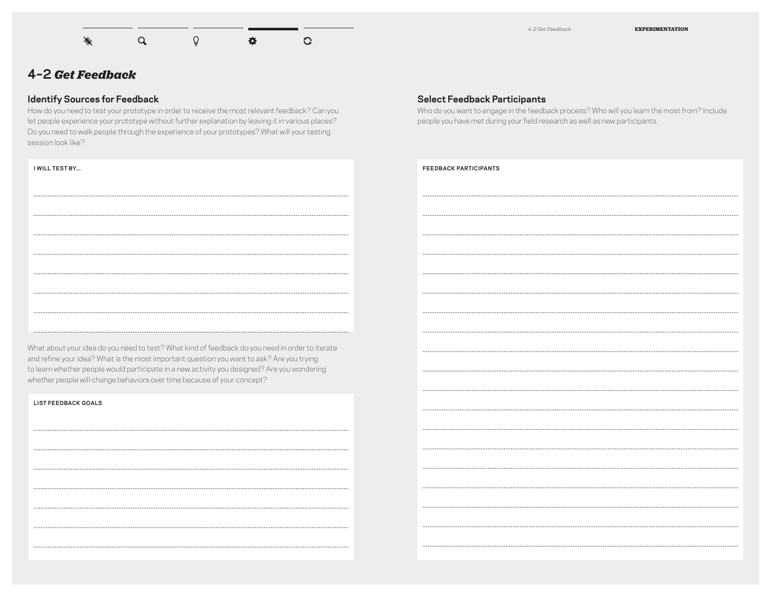

## **4–2** *Get Feedback*

## **Identify Sources for Feedback**

How do you need to test your prototype in order to receive the most relevant feedback? Can you let people experience your prototype without further explanation by leaving it in various places? Do you need to walk people through the experience of your prototypes? What will your testing session look like?

#### **I WILL TEST BY...**

| <b>Select Feedback Participants</b>    |  |  |
|----------------------------------------|--|--|
| Who do you want to engage in the feedb |  |  |

back process? Who will you learn the most from? Include people you have met during your field research as well as new participants.

#### **FEEDBACK PARTICIPANTS**

What about your idea do you need to test? What kind of feedback do you need in order to iterate and refine your idea? What is the most important question you want to ask? Are you trying to learn whether people would participate in a new activity you designed? Are you wondering whether people will change behaviors over time because of your concept?

**LIST FEEDBACK GOALS**

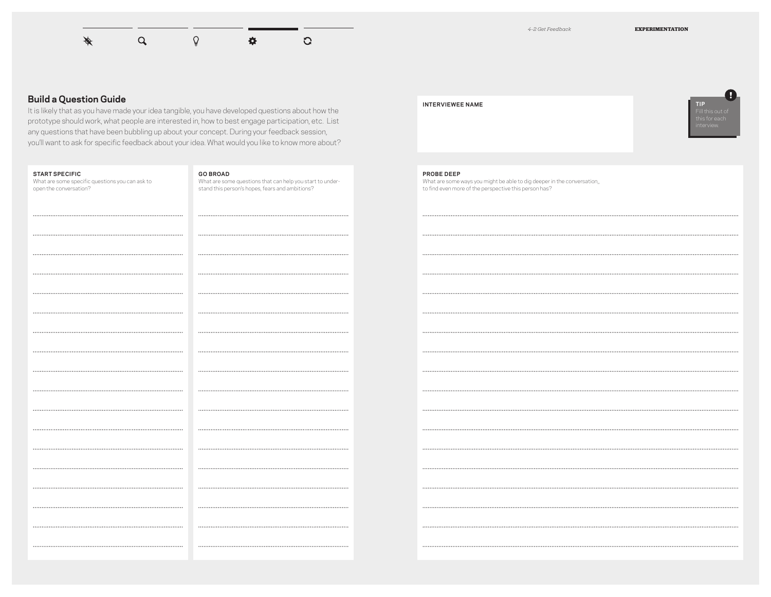

#### **Build a Question Guide**

It is likely that as you have made your idea tangible, you have developed questions about how the prototype should work, what people are interested in, how to best engage participation, etc. List any questions that have been bubbling up about your concept. During your feedback session, you'll want to ask for specific feedback about your idea. What would you like to know more about?

| <b>START SPECIFIC</b><br>What are some specific questions you can ask to<br>open the conversation? | <b>GO BROAD</b><br>What are some questions that can help you start to under-<br>stand this person's hopes, fears and ambitions? | <b>PROBE DEEP</b><br>What are some ways you might be able to dig deeper in the conversation,,<br>to find even more of the perspective this person has? |
|----------------------------------------------------------------------------------------------------|---------------------------------------------------------------------------------------------------------------------------------|--------------------------------------------------------------------------------------------------------------------------------------------------------|
|                                                                                                    |                                                                                                                                 |                                                                                                                                                        |
|                                                                                                    |                                                                                                                                 |                                                                                                                                                        |
|                                                                                                    |                                                                                                                                 |                                                                                                                                                        |
|                                                                                                    |                                                                                                                                 |                                                                                                                                                        |
|                                                                                                    |                                                                                                                                 |                                                                                                                                                        |
|                                                                                                    |                                                                                                                                 |                                                                                                                                                        |
|                                                                                                    |                                                                                                                                 |                                                                                                                                                        |
|                                                                                                    |                                                                                                                                 |                                                                                                                                                        |
|                                                                                                    |                                                                                                                                 |                                                                                                                                                        |
|                                                                                                    |                                                                                                                                 |                                                                                                                                                        |
|                                                                                                    |                                                                                                                                 |                                                                                                                                                        |
|                                                                                                    |                                                                                                                                 |                                                                                                                                                        |
|                                                                                                    |                                                                                                                                 |                                                                                                                                                        |
|                                                                                                    |                                                                                                                                 |                                                                                                                                                        |
|                                                                                                    |                                                                                                                                 |                                                                                                                                                        |
|                                                                                                    |                                                                                                                                 |                                                                                                                                                        |
|                                                                                                    |                                                                                                                                 |                                                                                                                                                        |
|                                                                                                    |                                                                                                                                 |                                                                                                                                                        |

#### **INTERVIEWEE NAME**



#### **PROBE DEEP**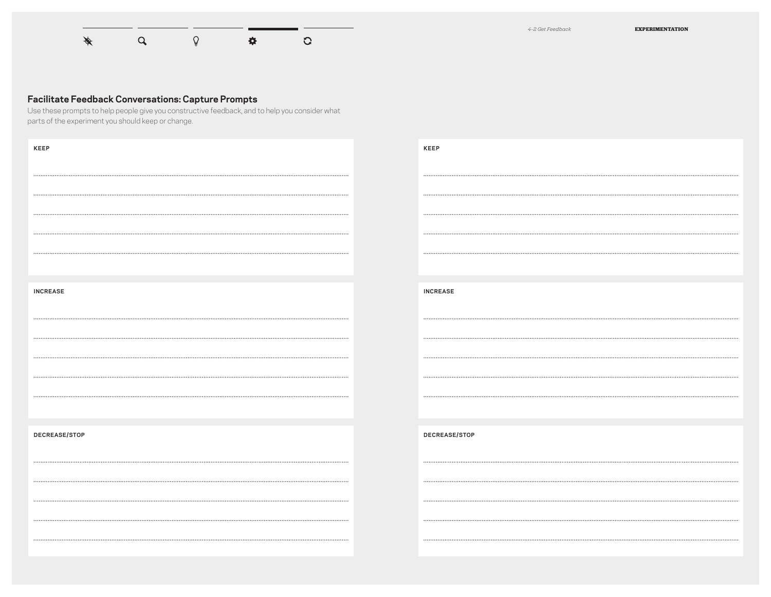

## **Facilitate Feedback Conversations: Capture Prompts**

Use these prompts to help people give you constructive feedback, and to help you consider what parts of the experiment you should keep or change.

| <b>KEEP</b>     | <b>KEEP</b>     |
|-----------------|-----------------|
|                 |                 |
|                 |                 |
|                 |                 |
|                 |                 |
|                 |                 |
|                 |                 |
|                 |                 |
|                 |                 |
|                 |                 |
|                 |                 |
| <b>INCREASE</b> | <b>INCREASE</b> |
|                 |                 |
|                 |                 |
|                 |                 |
|                 |                 |
|                 |                 |
|                 |                 |
|                 |                 |
|                 |                 |
|                 |                 |
| DECREASE/STOP   | DECREASE/STOP   |
|                 |                 |
|                 |                 |
|                 |                 |
|                 |                 |
|                 |                 |
|                 |                 |
|                 |                 |
|                 |                 |
|                 |                 |
|                 |                 |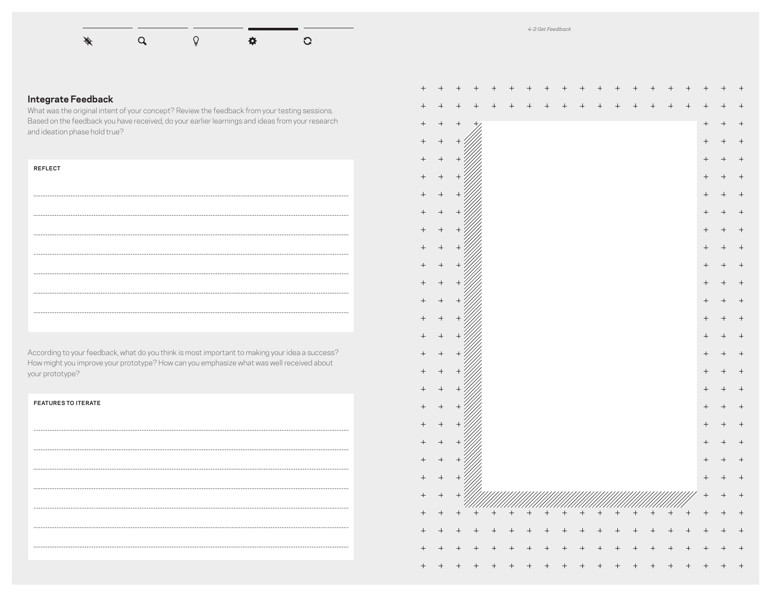

## **Integrate Feedback**

What was the original intent of your concept? Review the feedback from your testing sessions. Based on the feedback you have received, do your earlier learnings and ideas from your research and ideation phase hold true?

| <b>REFLECT</b> |  |  |  |
|----------------|--|--|--|
|                |  |  |  |
|                |  |  |  |
|                |  |  |  |
|                |  |  |  |
|                |  |  |  |
|                |  |  |  |
|                |  |  |  |
|                |  |  |  |

According to your feedback, what do you think is most important to making your idea a success? How might you improve your prototype? How can you emphasize what was well received about your prototype?

| <b>FEATURES TO ITERATE</b> |  |  |  |
|----------------------------|--|--|--|
|                            |  |  |  |
|                            |  |  |  |
|                            |  |  |  |
|                            |  |  |  |
|                            |  |  |  |
|                            |  |  |  |
|                            |  |  |  |

| $^{+}$            | $^+$      | $^{+}$    |                | $^+$   | $^{+}$ | $^+$   | $^{+}$ | $^{+}$ | $^{+}$ | $^{+}$ |        |        | $\,{}^+$ | $^+$   | $^+$      | $\,{}^{+}\,$   | $\, +$ |        |
|-------------------|-----------|-----------|----------------|--------|--------|--------|--------|--------|--------|--------|--------|--------|----------|--------|-----------|----------------|--------|--------|
| $^{+}$            | $^{+}$    |           | $^{+}$         | $^{+}$ | $^{+}$ | $^{+}$ | $^{+}$ | $^{+}$ | $^{+}$ | $^{+}$ | $^{+}$ | $^{+}$ | $^{+}$   | $^{+}$ | $^{+}$    | $^{+}$         | $^{+}$ | $^{+}$ |
| $^{+}$            | $^{+}$    | $\! + \!$ | $^{+}$         |        |        |        |        |        |        |        |        |        |          |        |           | $^{+}$         | $^{+}$ | $^{+}$ |
| $^{+}$            | $^{+}$    | $^{+}$    |                |        |        |        |        |        |        |        |        |        |          |        |           | $^{+}$         | $^{+}$ | $^{+}$ |
| $\! + \!$         | $\! + \!$ | $^{+}$    |                |        |        |        |        |        |        |        |        |        |          |        |           | $^{+}$         | $^{+}$ | $^{+}$ |
| $^{+}$            | $^{+}$    |           |                |        |        |        |        |        |        |        |        |        |          |        |           | $^{+}$         | $^{+}$ | $^{+}$ |
| $^{+}$            | $^{+}$    | $^{+}$    |                |        |        |        |        |        |        |        |        |        |          |        |           | $^{+}$         | $^{+}$ | $^{+}$ |
| $\! + \!$         | $\! + \!$ | $^{+}$    |                |        |        |        |        |        |        |        |        |        |          |        |           |                | $^{+}$ | $^{+}$ |
| $^{+}$            | $^{+}$    | $^{+}$    |                |        |        |        |        |        |        |        |        |        |          |        |           | $^{+}$         | $^{+}$ | $^{+}$ |
| $^{+}$            | $^{+}$    | $^{+}$    |                |        |        |        |        |        |        |        |        |        |          |        |           | $^{+}$         | $^{+}$ | $^{+}$ |
| $^{+}$            | $^{+}$    | $^{+}$    |                |        |        |        |        |        |        |        |        |        |          |        |           | $^{+}$         | $^{+}$ | $^{+}$ |
| $\! + \!$         | $^{+}$    | $^{+}$    |                |        |        |        |        |        |        |        |        |        |          |        |           | $^{+}$         | $^{+}$ | $^{+}$ |
|                   | $^{+}$    |           |                |        |        |        |        |        |        |        |        |        |          |        |           |                | $^{+}$ | $^{+}$ |
| $\! + \!$         | $^{+}$    | $^{+}$    |                |        |        |        |        |        |        |        |        |        |          |        |           |                | $^{+}$ | $^{+}$ |
|                   |           | $^{+}$    |                |        |        |        |        |        |        |        |        |        |          |        |           | $^{+}$         | $^{+}$ | $^{+}$ |
| $^{+}$            | $^{+}$    |           |                |        |        |        |        |        |        |        |        |        |          |        |           | $^{+}$         | $^{+}$ | $^{+}$ |
| $^{+}$            | $^{+}$    | $^{+}$    |                |        |        |        |        |        |        |        |        |        |          |        |           | $^{+}$         | $^{+}$ | $^{+}$ |
| $\! + \!$         | $^{+}$    | $^{+}$    |                |        |        |        |        |        |        |        |        |        |          |        |           |                | $^{+}$ | $^{+}$ |
| $\! + \!$         | $^{+}$    | $^{+}$    |                |        |        |        |        |        |        |        |        |        |          |        |           | $^{+}$         | $^{+}$ | $^{+}$ |
| $^{+}$            | $^{+}$    | $^{+}$    |                |        |        |        |        |        |        |        |        |        |          |        |           | $^{+}$         | $^{+}$ | $^{+}$ |
| $^{+}$            | $^{+}$    | $^{+}$    |                |        |        |        |        |        |        |        |        |        |          |        |           | $^{+}$         | $^{+}$ | $^{+}$ |
| $\qquad \qquad +$ | $\! + \!$ | $^{+}$    |                |        |        |        |        |        |        |        |        |        |          |        |           | $^{+}$         | $^{+}$ | $^{+}$ |
| $^{+}$            | $^{+}$    | $^{+}$    |                |        |        |        |        |        |        |        |        |        |          |        |           | $^{+}$         | $^{+}$ | $^{+}$ |
| $\! + \!$         | $^{+}$    | $^{+}$    |                |        |        |        |        |        |        |        |        |        |          |        |           |                | $^{+}$ | $^{+}$ |
| $\! + \!$         |           | $\! + \!$ | $+$            | $+$    | $+$    | $^{+}$ | $+$    | $+$    | $+$    | $+$    | $+$    | $+$    | $+$      | $+$    | $\! + \!$ | $^{+}$         |        | $^{+}$ |
| $^{+}$            | $^{+}$    | $^{+}$    | $^{+}$         | $^{+}$ | $^{+}$ | $^{+}$ | $^{+}$ | $^{+}$ | $^{+}$ |        | $^{+}$ | $^{+}$ | $^{+}$   | $^{+}$ | $^{+}$    | $^{+}$         | $^{+}$ | $^{+}$ |
| $^{+}$            | $^{+}$    | $^{+}$    | $\overline{+}$ | $^{+}$ | $^{+}$ | $^{+}$ | $^{+}$ | $^{+}$ | $^{+}$ | $^{+}$ | $^{+}$ | $^{+}$ | $^{+}$   | $^{+}$ | $^{+}$    | $^{+}$         | $^{+}$ | $^{+}$ |
|                   |           |           |                |        |        | $^{+}$ | $^{+}$ | $^{+}$ | $^{+}$ | $^{+}$ |        | $^{+}$ | $^{+}$   | $^{+}$ | $^{+}$    | $\overline{+}$ | $^{+}$ | $^{+}$ |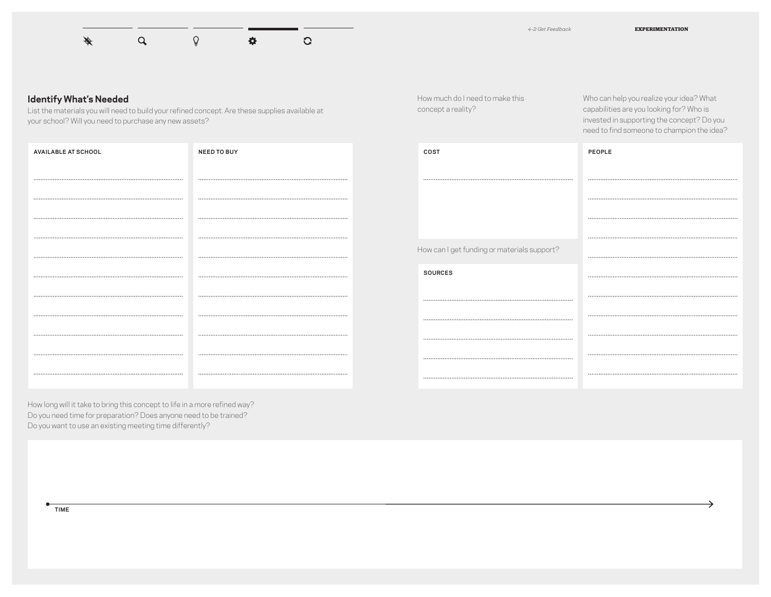

How much do I need to make this

concept a reality?

Who can help you realize your idea? What capabilities are you looking for? Who is invested in supporting the concept? Do you need to find someone to champion the idea?

#### **Identify What's Needed**

List the materials you will need to build your refined concept. Are these supplies available at your school? Will you need to purchase any new assets?

| <b>AVAILABLE AT SCHOOL</b> | <b>NEED TO BUY</b> |
|----------------------------|--------------------|
|                            |                    |
|                            |                    |
|                            |                    |
|                            |                    |
|                            |                    |
|                            |                    |
|                            |                    |
|                            |                    |
|                            |                    |
|                            |                    |
|                            |                    |

| COST                                        | PEOPLE |
|---------------------------------------------|--------|
|                                             |        |
|                                             |        |
|                                             |        |
|                                             |        |
| How can I get funding or materials support? |        |
| <b>SOURCES</b>                              |        |
|                                             |        |
|                                             |        |
|                                             |        |
|                                             |        |
|                                             |        |

How long will it take to bring this concept to life in a more refined way? Do you need time for preparation? Does anyone need to be trained? Do you want to use an existing meeting time differently?

**TIME**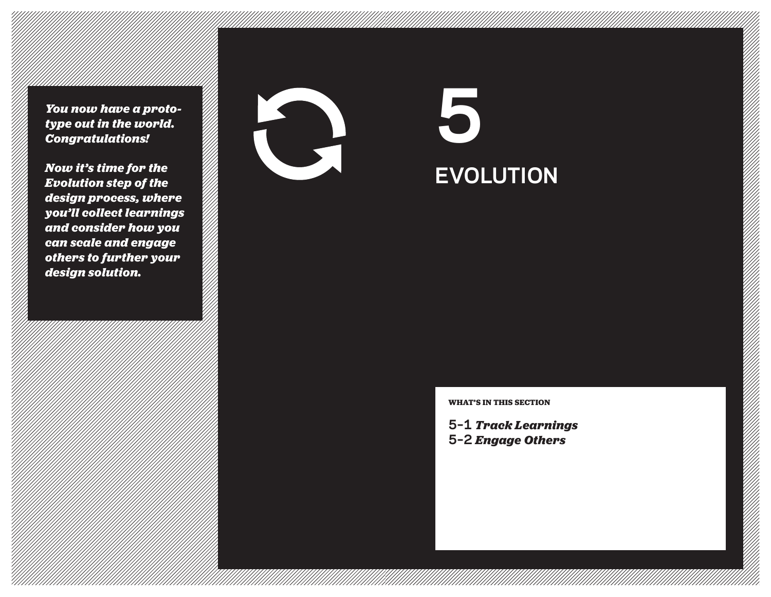*You now have a prototype out in the world. Congratulations!* 

*Now it's time for the Evolution step of the design process, where you'll collect learnings and consider how you can scale and engage others to further your design solution.*



# **EVOLUTION 5**

**WHAT'S IN THIS SECTION**

**5–1** *Track Learnings* **5–2** *Engage Others*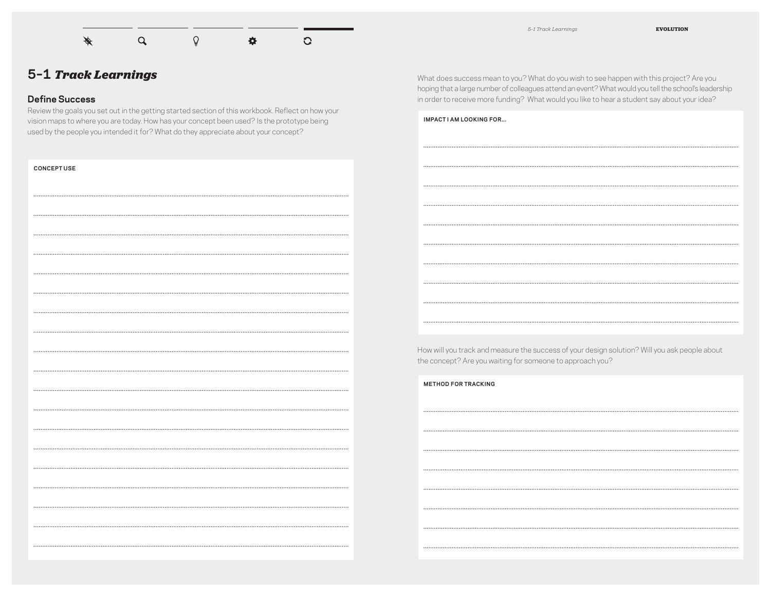

## **5–1** *Track Learnings*

#### **Define Success**

Review the goals you set out in the getting started section of this workbook. Reflect on how your vision maps to where you are today. How has your concept been used? Is the prototype being used by the people you intended it for? What do they appreciate about your concept?

What does success mean to you? What do you wish to see happen with this project? Are you hoping that a large number of colleagues attend an event? What would you tell the school's leadership in order to receive more funding? What would you like to hear a student say about your idea?

| IMPACT I AM LOOKING FOR |
|-------------------------|
|                         |
|                         |
|                         |
|                         |
|                         |
|                         |
|                         |
|                         |
|                         |
|                         |

How will you track and measure the success of your design solution? Will you ask people about the concept? Are you waiting for someone to approach you?

| <b>METHOD FOR TRACKING</b> |
|----------------------------|
|                            |
|                            |
|                            |
|                            |
|                            |
|                            |
|                            |
|                            |
|                            |

| <b>CONCEPT USE</b> |
|--------------------|
|                    |
|                    |
|                    |
|                    |
|                    |
|                    |
|                    |
|                    |
|                    |
|                    |
|                    |
|                    |
|                    |
|                    |
|                    |
|                    |
|                    |
|                    |
|                    |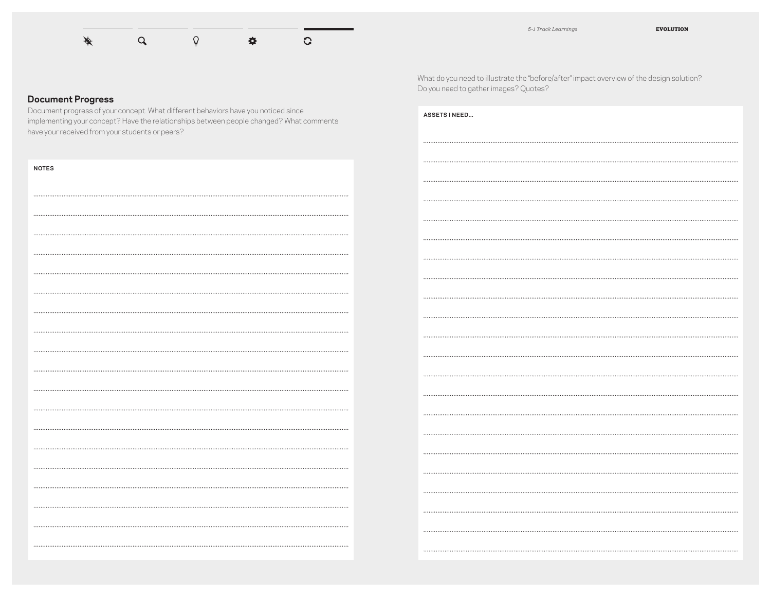

## **Document Progress**

Document progress of your concept. What different behaviors have you noticed since implementing your concept? Have the relationships between people changed? What comments have your received from your students or peers?

| <b>NOTES</b> |
|--------------|
|              |
|              |
|              |
|              |
|              |
|              |
|              |
|              |
|              |
| .            |
|              |
|              |
|              |
|              |
|              |
|              |
|              |
|              |
|              |

What do you need to illustrate the "before/after" impact overview of the design solution? Do you need to gather images? Quotes?

| <b>ASSETS INEED</b> |
|---------------------|
|                     |
|                     |
|                     |
|                     |
|                     |
|                     |
|                     |
|                     |
|                     |
|                     |
|                     |
|                     |
|                     |
|                     |
|                     |
|                     |
|                     |
|                     |
|                     |
|                     |
|                     |
|                     |
|                     |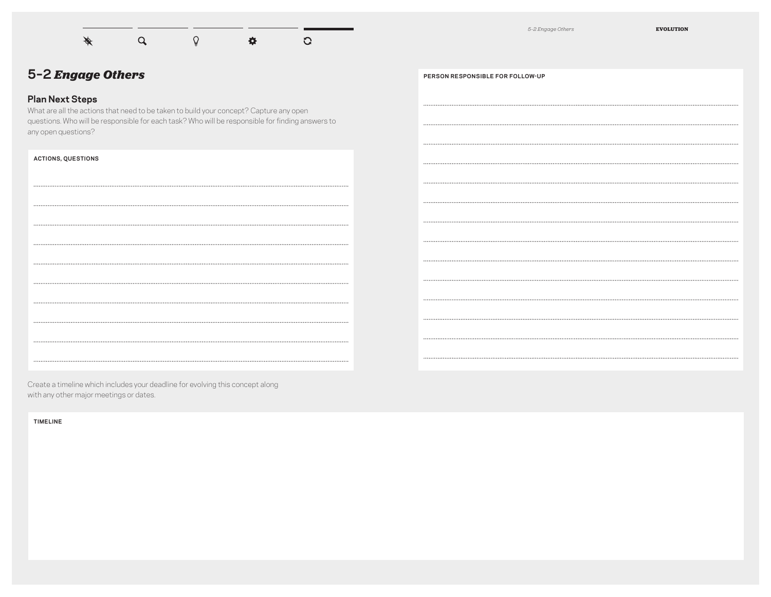

*5–2 Engage Others* **EVOLUTION**

## **5–2** *Engage Others*

## **Plan Next Steps**

What are all the actions that need to be taken to build your concept? Capture any open questions. Who will be responsible for each task? Who will be responsible for finding answers to any open questions?

#### **ACTIONS, QUESTIONS**

HOW CAN WE MAKE THE PRIVACY CORNER MORE "PRIVATE" AND SOUNDPROOF BUILD A STURDIER AND MORE FLEXIBLE COLLABORATION TABLE THAT CAN EASILY 

**PERSON RESPONSIBLE FOR FOLLOW-UP** (ME): CONNECT WITH PARENTS TO SEE IF ANYONE HAS ARCHITECTURE OR SOUNDPROOFING EXPERIENCE MR. ARCHER WILL REACH OUT TO HIS FURNITURE MAKING FRIEND.

Create a timeline which includes your deadline for evolving this concept along with any other major meetings or dates.

**TIMELINE**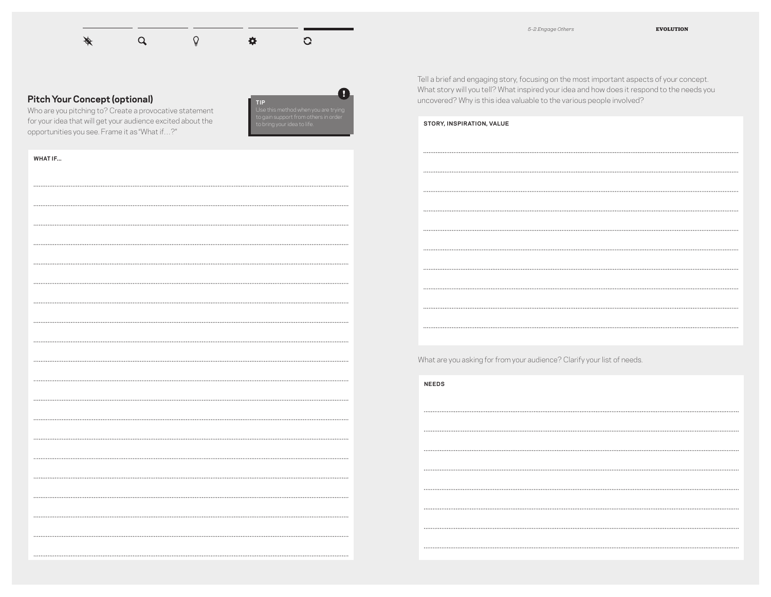#### $\alpha$  $\hbox{\large \bf \Omega}$ G  $\mathscr{I}$ 春

#### **Pitch Your Concept (optional)**

Who are you pitching to? Create a provocative statement for your idea that will get your audience excited about the opportunities you see. Frame it as "What if…?"



**WHAT IF...**

Tell a brief and engaging story, focusing on the most important aspects of your concept. What story will you tell? What inspired your idea and how does it respond to the needs you uncovered? Why is this idea valuable to the various people involved?

SUPPORT US. STRUCTURAL BARRIERS IMPACT LEARNING AND BEHAVIOR. OFFICE SPACES ARE FLEXING TO NEW WORK STYLES, OUR CLASSROOMS SHOULD BE

ABLE TO LEVERAGE THOSE LEARNINGS..

What are you asking for from your audience? Clarify your list of needs.

HELP FROM ARCHITECTS, PARENTS, INTERIOR DESIGNERS, TO RETHINK THE BEST

USE OF THE CLASSROOM. OR, HELP US TO START FROM SCRATCH.

**NEEDS**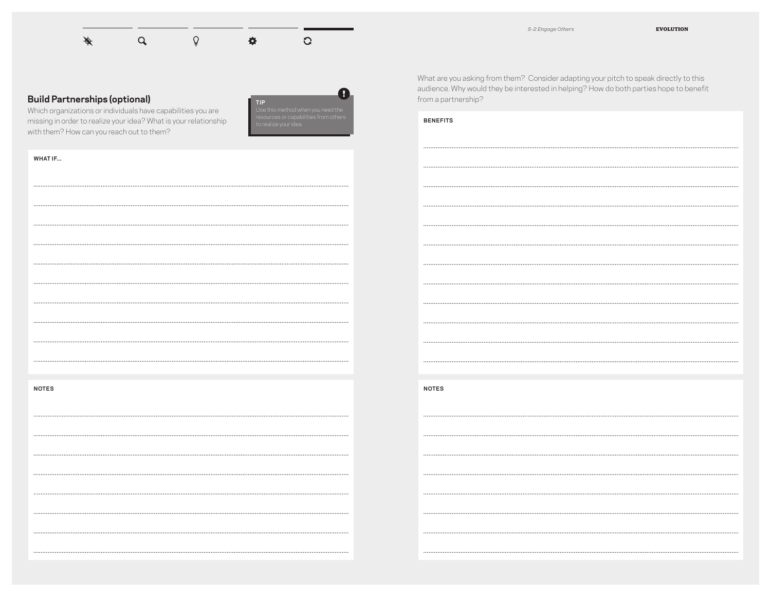#### $\alpha$  $\hbox{\large\it Q}$ G 春

#### **Build Partnerships (optional)**

Which organizations or individuals have capabilities you are missing in order to realize your idea? What is your relationship with them? How can you reach out to them?



**WHAT IF...**

**NOTES**

What are you asking from them? Consider adapting your pitch to speak directly to this audience. Why would they be interested in helping? How do both parties hope to benefit from a partnership?

#### **BENEFITS**

**NOTES**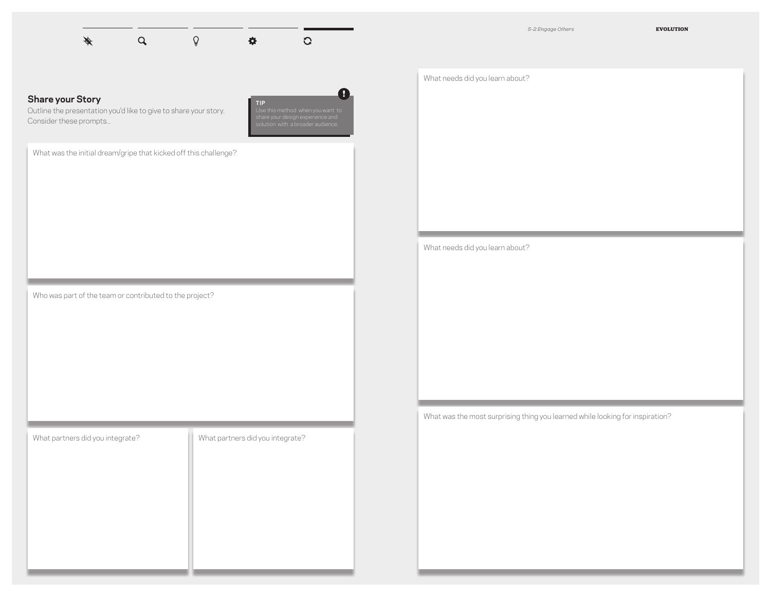|  | $\begin{picture}(160,170) \put(0,0){\vector(1,0){100}} \put(150,0){\vector(1,0){100}} \put(150,0){\vector(1,0){100}} \put(150,0){\vector(1,0){100}} \put(150,0){\vector(1,0){100}} \put(150,0){\vector(1,0){100}} \put(150,0){\vector(1,0){100}} \put(150,0){\vector(1,0){100}} \put(150,0){\vector(1,0){100}} \put(150,0){\vector(1,0){100}} \put(150,0){$ |  |
|--|-------------------------------------------------------------------------------------------------------------------------------------------------------------------------------------------------------------------------------------------------------------------------------------------------------------------------------------------------------------|--|

*5–2 Engage Others* **EVOLUTION**

### **Share your Story**

Outline the presentation you'd like to give to share your story. Consider these prompts...



What was the initial dream/gripe that kicked off this challenge?

Who was part of the team or contributed to the project?

What partners did you integrate? What partners did you integrate?

What needs did you learn about?

What needs did you learn about?

What was the most surprising thing you learned while looking for inspiration?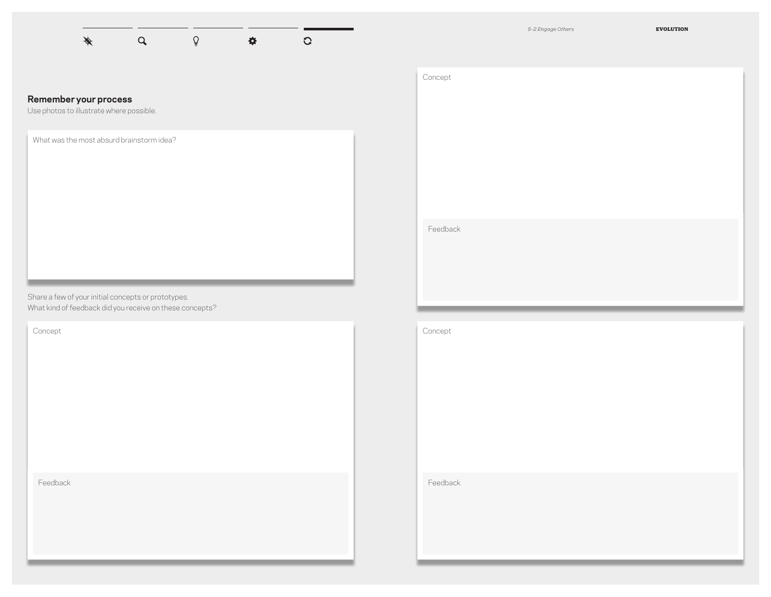*5–2 Engage Others* **EVOLUTION**

#### $\mathbb{Q}$  $\cancel{\phi}$  $\alpha$  $\hat{\mathbf{w}}$  $\overline{C}$

#### **Remember your process**

Use photos to illustrate where possible.

What was the most absurd brainstorm idea?

Share a few of your initial concepts or prototypes. What kind of feedback did you receive on these concepts?

Concept

Feedback

| Concept  |  |  |  |
|----------|--|--|--|
|          |  |  |  |
|          |  |  |  |
|          |  |  |  |
|          |  |  |  |
|          |  |  |  |
|          |  |  |  |
|          |  |  |  |
| Feedback |  |  |  |
|          |  |  |  |
|          |  |  |  |

Concept

Feedback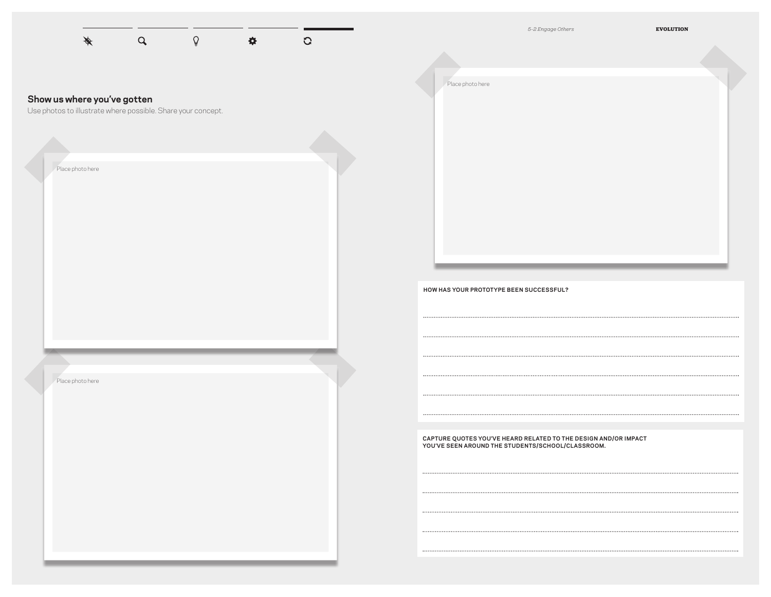|                                                                                             |             |             |                    |               | 5-2 Engage Others<br><b>EVOLUTION</b>                                                                                                                                                                                                                                                                                                                                                                                                                                                                    |  |
|---------------------------------------------------------------------------------------------|-------------|-------------|--------------------|---------------|----------------------------------------------------------------------------------------------------------------------------------------------------------------------------------------------------------------------------------------------------------------------------------------------------------------------------------------------------------------------------------------------------------------------------------------------------------------------------------------------------------|--|
|                                                                                             | $\mathsf Q$ | $\mathbb Q$ | $\mathbf{\hat{u}}$ | $\mathcal{O}$ | Place photo here                                                                                                                                                                                                                                                                                                                                                                                                                                                                                         |  |
| Show us where you've gotten<br>Use photos to illustrate where possible. Share your concept. |             |             |                    |               |                                                                                                                                                                                                                                                                                                                                                                                                                                                                                                          |  |
| Place photo here                                                                            |             |             |                    |               |                                                                                                                                                                                                                                                                                                                                                                                                                                                                                                          |  |
|                                                                                             |             |             |                    |               |                                                                                                                                                                                                                                                                                                                                                                                                                                                                                                          |  |
|                                                                                             |             |             |                    |               |                                                                                                                                                                                                                                                                                                                                                                                                                                                                                                          |  |
|                                                                                             |             |             |                    |               | HOW HAS YOUR PROTOTYPE BEEN SUCCESSFUL?                                                                                                                                                                                                                                                                                                                                                                                                                                                                  |  |
|                                                                                             |             |             |                    |               |                                                                                                                                                                                                                                                                                                                                                                                                                                                                                                          |  |
| Place photo here                                                                            |             |             |                    |               |                                                                                                                                                                                                                                                                                                                                                                                                                                                                                                          |  |
|                                                                                             |             |             |                    |               | CAPTURE QUOTES YOU'VE HEARD RELATED TO THE DESIGN AND/OR IMPACT<br>YOU'VE SEEN AROUND THE STUDENTS/SCHOOL/CLASSROOM.                                                                                                                                                                                                                                                                                                                                                                                     |  |
|                                                                                             |             |             |                    |               | $\begin{minipage}{0.9\linewidth} \begin{tabular}{l} \hline \textbf{0.01} \end{tabular} \end{minipage} \begin{minipage}{0.9\linewidth} \begin{tabular}{l} \hline \textbf{0.01} \end{tabular} \end{minipage} \begin{minipage}{0.9\linewidth} \begin{tabular}{l} \hline \textbf{0.01} \end{tabular} \end{minipage} \end{minipage} \begin{minipage}{0.9\linewidth} \begin{tabular}{l} \hline \textbf{0.01} \end{tabular} \end{minipage} \end{minipage} \begin{minipage}{0.9\linewidth} \begin{tabular}{l} \$ |  |
|                                                                                             |             |             |                    |               | $\begin{minipage}{0.9\linewidth} \begin{tabular}{l} \hline \textbf{0.01} \end{tabular} \end{minipage} \begin{minipage}{0.9\linewidth} \begin{tabular}{l} \hline \textbf{0.01} \end{tabular} \end{minipage} \begin{minipage}{0.9\linewidth} \begin{tabular}{l} \hline \textbf{0.01} \end{tabular} \end{minipage} \end{minipage} \begin{minipage}{0.9\linewidth} \begin{tabular}{l} \hline \textbf{0.01} \end{tabular} \end{minipage} \end{minipage} \begin{minipage}{0.9\linewidth} \begin{tabular}{l} \$ |  |
|                                                                                             |             |             |                    |               |                                                                                                                                                                                                                                                                                                                                                                                                                                                                                                          |  |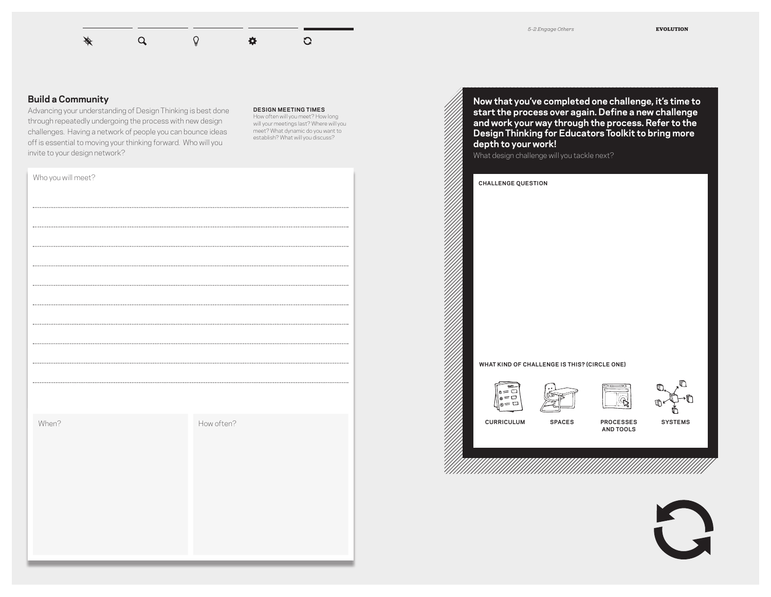#### $Q$  $\overline{Q}$ ♦  $\ddot{\mathbf{Q}}$  $\overline{G}$

#### **Build a Community**

Advancing your understanding of Design Thinking is best done through repeatedly undergoing the process with new design challenges. Having a network of people you can bounce ideas off is essential to moving your thinking forward. Who will you invite to your design network?

#### **DESIGN MEETING TIMES**

How often will you meet? How long will your meetings last? Where will you meet? What dynamic do you want to establish? What will you discuss?

| Who you will meet? |            |
|--------------------|------------|
|                    |            |
|                    |            |
|                    |            |
|                    |            |
|                    |            |
|                    |            |
|                    |            |
|                    |            |
|                    |            |
|                    |            |
|                    |            |
| When?              | How often? |
|                    |            |
|                    |            |
|                    |            |
|                    |            |
|                    |            |
|                    |            |
|                    |            |

**Now that you've completed one challenge, it's time to start the process over again. Define a new challenge and work your way through the process. Refer to the Design Thinking for Educators Toolkit to bring more depth to your work!**

| <b>CHALLENGE QUESTION</b>               |                                              |                               |                |
|-----------------------------------------|----------------------------------------------|-------------------------------|----------------|
|                                         |                                              |                               |                |
|                                         |                                              |                               |                |
|                                         |                                              |                               |                |
|                                         |                                              |                               |                |
|                                         |                                              |                               |                |
|                                         |                                              |                               |                |
|                                         |                                              |                               |                |
|                                         |                                              |                               |                |
|                                         | WHAT KIND OF CHALLENGE IS THIS? (CIRCLE ONE) |                               |                |
| $\circ = \square$<br>$\omega = \square$ | १एक                                          |                               | ╓              |
| — r                                     |                                              |                               | ℼ              |
| <b>CURRICULUM</b>                       | <b>SPACES</b>                                | <b>PROCESSES</b><br>AND TOOLS | <b>SYSTEMS</b> |
|                                         |                                              |                               |                |
|                                         |                                              |                               |                |